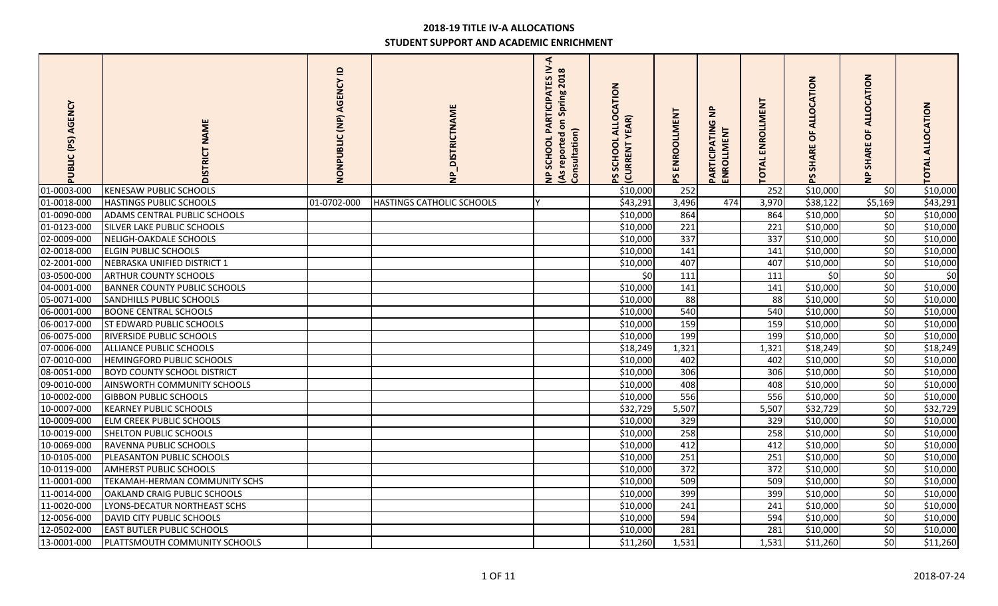| AGENCY<br>PUBLIC (PS) | NAME<br><b>DISTRICT</b>             | $\mathbf{a}$<br>NONPUBLIC (NP) AGENCY | <b>VP_DISTRICTNAME</b>           | $\triangleleft$<br><b>PARTICIPATES IV</b><br>(As reported on Spring 2018<br>Consultation)<br>SCHOOL<br>$\epsilon$ | ALLOCATION<br><b>YEAR</b> )<br>SCHOOL<br><b>CURRENT</b> | PS ENROOLLMENT | $\epsilon$<br>PARTICIPATIN<br>ENROLLMENT | ENROLLMENT<br><b>TOTAL</b> | CATION<br><b>ALLO</b><br>ŏ<br><b>SHARE</b> | CATION<br>O<br>₹<br>$\circ$<br><b>SHARI</b><br>$\frac{1}{2}$ | TOTAL ALLOCATION |
|-----------------------|-------------------------------------|---------------------------------------|----------------------------------|-------------------------------------------------------------------------------------------------------------------|---------------------------------------------------------|----------------|------------------------------------------|----------------------------|--------------------------------------------|--------------------------------------------------------------|------------------|
| 01-0003-000           | <b>KENESAW PUBLIC SCHOOLS</b>       |                                       |                                  |                                                                                                                   | \$10,000                                                | 252            |                                          | 252                        | \$10,000                                   | \$0                                                          | \$10,000         |
| 01-0018-000           | <b>HASTINGS PUBLIC SCHOOLS</b>      | 01-0702-000                           | <b>HASTINGS CATHOLIC SCHOOLS</b> |                                                                                                                   | \$43,291                                                | 3,496          | 474                                      | 3,970                      | \$38,122                                   | \$5,169                                                      | \$43,291         |
| 01-0090-000           | ADAMS CENTRAL PUBLIC SCHOOLS        |                                       |                                  |                                                                                                                   | \$10,000                                                | 864            |                                          | 864                        | \$10,000                                   | \$0                                                          | \$10,000         |
| 01-0123-000           | <b>SILVER LAKE PUBLIC SCHOOLS</b>   |                                       |                                  |                                                                                                                   | \$10,000                                                | 221            |                                          | 221                        | \$10,000                                   | 50                                                           | \$10,000         |
| 02-0009-000           | NELIGH-OAKDALE SCHOOLS              |                                       |                                  |                                                                                                                   | \$10,000                                                | 337            |                                          | $\overline{337}$           | \$10,000                                   | 50                                                           | \$10,000         |
| 02-0018-000           | <b>ELGIN PUBLIC SCHOOLS</b>         |                                       |                                  |                                                                                                                   | \$10,000                                                | 141            |                                          | 141                        | \$10,000                                   | \$0                                                          | \$10,000         |
| 02-2001-000           | NEBRASKA UNIFIED DISTRICT 1         |                                       |                                  |                                                                                                                   | \$10,000                                                | 407            |                                          | 407                        | \$10,000                                   | \$0                                                          | \$10,000         |
| 03-0500-000           | <b>ARTHUR COUNTY SCHOOLS</b>        |                                       |                                  |                                                                                                                   | \$0                                                     | 111            |                                          | 111                        | \$0                                        | 50                                                           | \$0              |
| 04-0001-000           | <b>BANNER COUNTY PUBLIC SCHOOLS</b> |                                       |                                  |                                                                                                                   | \$10,000                                                | 141            |                                          | 141                        | \$10,000                                   | \$0                                                          | \$10,000         |
| 05-0071-000           | <b>SANDHILLS PUBLIC SCHOOLS</b>     |                                       |                                  |                                                                                                                   | \$10,000                                                | 88             |                                          | 88                         | \$10,000                                   | 50                                                           | \$10,000         |
| 06-0001-000           | <b>BOONE CENTRAL SCHOOLS</b>        |                                       |                                  |                                                                                                                   | \$10,000                                                | 540            |                                          | 540                        | \$10,000                                   | \$0                                                          | \$10,000         |
| 06-0017-000           | <b>ST EDWARD PUBLIC SCHOOLS</b>     |                                       |                                  |                                                                                                                   | \$10,000                                                | 159            |                                          | 159                        | \$10,000                                   | \$0                                                          | \$10,000         |
| 06-0075-000           | RIVERSIDE PUBLIC SCHOOLS            |                                       |                                  |                                                                                                                   | \$10,000                                                | 199            |                                          | 199                        | \$10,000                                   | 50                                                           | \$10,000         |
| 07-0006-000           | ALLIANCE PUBLIC SCHOOLS             |                                       |                                  |                                                                                                                   | \$18,249                                                | 1,321          |                                          | 1,321                      | \$18,249                                   | 50                                                           | \$18,249         |
| 07-0010-000           | HEMINGFORD PUBLIC SCHOOLS           |                                       |                                  |                                                                                                                   | \$10,000                                                | 402            |                                          | 402                        | \$10,000                                   | 50                                                           | \$10,000         |
| 08-0051-000           | <b>BOYD COUNTY SCHOOL DISTRICT</b>  |                                       |                                  |                                                                                                                   | \$10,000                                                | 306            |                                          | 306                        | \$10,000                                   | 50                                                           | \$10,000         |
| 09-0010-000           | <b>AINSWORTH COMMUNITY SCHOOLS</b>  |                                       |                                  |                                                                                                                   | \$10,000                                                | 408            |                                          | 408                        | \$10,000                                   | \$0                                                          | \$10,000         |
| 10-0002-000           | <b>GIBBON PUBLIC SCHOOLS</b>        |                                       |                                  |                                                                                                                   | \$10,000                                                | 556            |                                          | 556                        | \$10,000                                   | \$0                                                          | \$10,000         |
| 10-0007-000           | <b>KEARNEY PUBLIC SCHOOLS</b>       |                                       |                                  |                                                                                                                   | \$32,729                                                | 5,507          |                                          | 5,507                      | \$32,729                                   | \$0                                                          | \$32,729         |
| 10-0009-000           | <b>ELM CREEK PUBLIC SCHOOLS</b>     |                                       |                                  |                                                                                                                   | \$10,000                                                | 329            |                                          | 329                        | \$10,000                                   | 50                                                           | \$10,000         |
| 10-0019-000           | <b>SHELTON PUBLIC SCHOOLS</b>       |                                       |                                  |                                                                                                                   | \$10,000                                                | 258            |                                          | 258                        | \$10,000                                   | \$0                                                          | \$10,000         |
| 10-0069-000           | RAVENNA PUBLIC SCHOOLS              |                                       |                                  |                                                                                                                   | \$10,000                                                | 412            |                                          | 412                        | \$10,000                                   | 50                                                           | \$10,000         |
| 10-0105-000           | PLEASANTON PUBLIC SCHOOLS           |                                       |                                  |                                                                                                                   | \$10,000                                                | 251            |                                          | 251                        | \$10,000                                   | \$0                                                          | \$10,000         |
| 10-0119-000           | <b>AMHERST PUBLIC SCHOOLS</b>       |                                       |                                  |                                                                                                                   | \$10,000                                                | 372            |                                          | 372                        | \$10,000                                   | \$0                                                          | \$10,000         |
| 11-0001-000           | TEKAMAH-HERMAN COMMUNITY SCHS       |                                       |                                  |                                                                                                                   | \$10,000                                                | 509            |                                          | 509                        | \$10,000                                   | \$0                                                          | \$10,000         |
| 11-0014-000           | OAKLAND CRAIG PUBLIC SCHOOLS        |                                       |                                  |                                                                                                                   | \$10,000                                                | 399            |                                          | 399                        | \$10,000                                   | \$0                                                          | \$10,000         |
| 11-0020-000           | LYONS-DECATUR NORTHEAST SCHS        |                                       |                                  |                                                                                                                   | \$10,000                                                | 241            |                                          | 241                        | \$10,000                                   | 50                                                           | \$10,000         |
| 12-0056-000           | DAVID CITY PUBLIC SCHOOLS           |                                       |                                  |                                                                                                                   | \$10,000                                                | 594            |                                          | 594                        | \$10,000                                   | \$0                                                          | \$10,000         |
| 12-0502-000           | <b>EAST BUTLER PUBLIC SCHOOLS</b>   |                                       |                                  |                                                                                                                   | \$10,000                                                | 281            |                                          | 281                        | \$10,000                                   | \$0                                                          | \$10,000         |
| 13-0001-000           | PLATTSMOUTH COMMUNITY SCHOOLS       |                                       |                                  |                                                                                                                   | \$11,260                                                | 1,531          |                                          | 1,531                      | \$11,260                                   | 50                                                           | \$11,260         |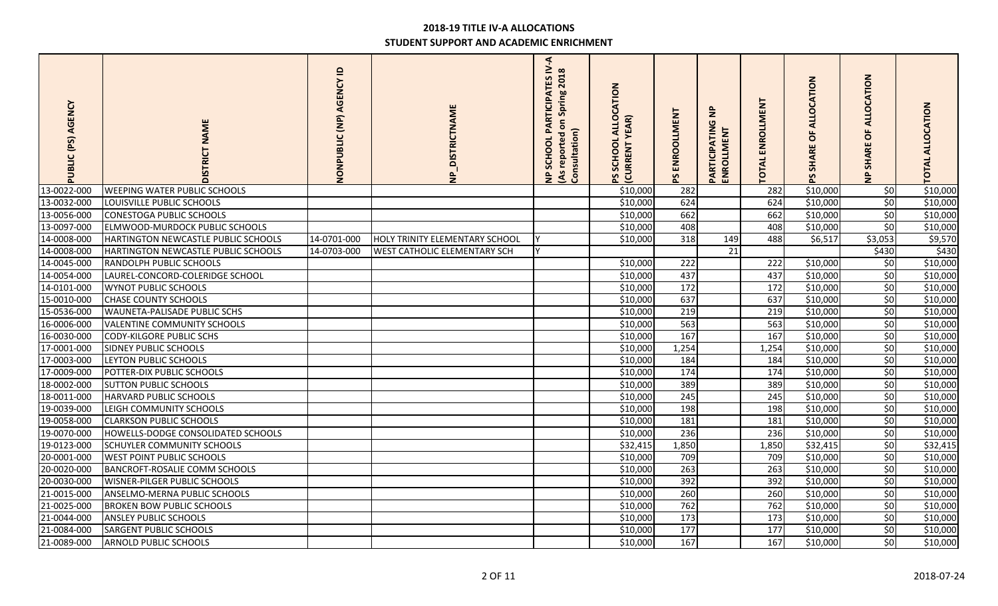| AGENCY<br>PUBLIC (PS) | <b>NAME</b><br><b>DISTRICT</b>       | $\mathbf{r}$<br>NONPUBLIC (NP) AGENCY | <b>DISTRICTNAME</b><br>$\frac{1}{2}$ | F.<br>PARTICIPATES IV<br>(As reported on Spring 2018<br>Consultation)<br>SCHOOL<br>$\frac{1}{2}$ | ALLOCATION<br>EAR)<br>SCHOOL<br><b>CURRENT</b> | PS ENROOLLMENT | $\mathbf{z}$<br>PARTICIPATIN<br><b>MENT</b><br>ENROLL | ENROLLMENT<br>TOTAL | CATION<br><b>ALLO</b><br>ŏ<br><b>IARE</b><br>오<br>59 | <b>NOIL</b><br>3<br>O<br>O<br>₹<br>또<br>$\epsilon$ | <b>TOTAL ALLOCATION</b> |
|-----------------------|--------------------------------------|---------------------------------------|--------------------------------------|--------------------------------------------------------------------------------------------------|------------------------------------------------|----------------|-------------------------------------------------------|---------------------|------------------------------------------------------|----------------------------------------------------|-------------------------|
| 13-0022-000           | <b>WEEPING WATER PUBLIC SCHOOLS</b>  |                                       |                                      |                                                                                                  | \$10,000                                       | 282            |                                                       | 282                 | \$10,000                                             | \$0                                                | 510,000                 |
| 13-0032-000           | LOUISVILLE PUBLIC SCHOOLS            |                                       |                                      |                                                                                                  | \$10,000                                       | 624            |                                                       | 624                 | \$10,000                                             | \$0                                                | \$10,000                |
| 13-0056-000           | <b>CONESTOGA PUBLIC SCHOOLS</b>      |                                       |                                      |                                                                                                  | \$10,000                                       | 662            |                                                       | 662                 | \$10,000                                             | 50                                                 | \$10,000                |
| 13-0097-000           | ELMWOOD-MURDOCK PUBLIC SCHOOLS       |                                       |                                      |                                                                                                  | \$10,000                                       | 408            |                                                       | 408                 | \$10,000                                             | 50                                                 | \$10,000                |
| 14-0008-000           | HARTINGTON NEWCASTLE PUBLIC SCHOOLS  | 14-0701-000                           | HOLY TRINITY ELEMENTARY SCHOOL       |                                                                                                  | \$10,000                                       | 318            | 149                                                   | 488                 | \$6,517                                              | \$3,053                                            | \$9,570                 |
| 14-0008-000           | HARTINGTON NEWCASTLE PUBLIC SCHOOLS  | 14-0703-000                           | WEST CATHOLIC ELEMENTARY SCH         |                                                                                                  |                                                |                | 21                                                    |                     |                                                      | \$430                                              | \$430                   |
| 14-0045-000           | RANDOLPH PUBLIC SCHOOLS              |                                       |                                      |                                                                                                  | \$10,000                                       | 222            |                                                       | 222                 | \$10,000                                             | \$0                                                | \$10,000                |
| 14-0054-000           | LAUREL-CONCORD-COLERIDGE SCHOOL      |                                       |                                      |                                                                                                  | \$10,000                                       | 437            |                                                       | 437                 | \$10,000                                             | 50                                                 | \$10,000                |
| 14-0101-000           | <b>WYNOT PUBLIC SCHOOLS</b>          |                                       |                                      |                                                                                                  | \$10,000                                       | 172            |                                                       | 172                 | \$10,000                                             | \$0                                                | \$10,000                |
| 15-0010-000           | <b>CHASE COUNTY SCHOOLS</b>          |                                       |                                      |                                                                                                  | \$10,000                                       | 637            |                                                       | 637                 | \$10,000                                             | 50                                                 | \$10,000                |
| 15-0536-000           | WAUNETA-PALISADE PUBLIC SCHS         |                                       |                                      |                                                                                                  | \$10,000                                       | 219            |                                                       | 219                 | \$10,000                                             | 50                                                 | \$10,000                |
| 16-0006-000           | <b>VALENTINE COMMUNITY SCHOOLS</b>   |                                       |                                      |                                                                                                  | \$10,000                                       | 563            |                                                       | 563                 | \$10,000                                             | \$0                                                | \$10,000                |
| 16-0030-000           | <b>CODY-KILGORE PUBLIC SCHS</b>      |                                       |                                      |                                                                                                  | \$10,000                                       | 167            |                                                       | 167                 | \$10,000                                             | \$0                                                | \$10,000                |
| 17-0001-000           | SIDNEY PUBLIC SCHOOLS                |                                       |                                      |                                                                                                  | \$10,000                                       | 1,254          |                                                       | 1,254               | \$10,000                                             | 50                                                 | \$10,000                |
| 17-0003-000           | LEYTON PUBLIC SCHOOLS                |                                       |                                      |                                                                                                  | \$10,000                                       | 184            |                                                       | 184                 | \$10,000                                             | 50                                                 | \$10,000                |
| 17-0009-000           | POTTER-DIX PUBLIC SCHOOLS            |                                       |                                      |                                                                                                  | \$10,000                                       | 174            |                                                       | 174                 | \$10,000                                             | \$0                                                | \$10,000                |
| 18-0002-000           | <b>SUTTON PUBLIC SCHOOLS</b>         |                                       |                                      |                                                                                                  | \$10,000                                       | 389            |                                                       | 389                 | \$10,000                                             | $\overline{50}$                                    | \$10,000                |
| 18-0011-000           | <b>HARVARD PUBLIC SCHOOLS</b>        |                                       |                                      |                                                                                                  | \$10,000                                       | 245            |                                                       | 245                 | \$10,000                                             | \$0                                                | \$10,000                |
| 19-0039-000           | LEIGH COMMUNITY SCHOOLS              |                                       |                                      |                                                                                                  | \$10,000                                       | 198            |                                                       | 198                 | \$10,000                                             | 50                                                 | \$10,000                |
| 19-0058-000           | <b>CLARKSON PUBLIC SCHOOLS</b>       |                                       |                                      |                                                                                                  | \$10,000                                       | 181            |                                                       | 181                 | \$10,000                                             | \$0                                                | \$10,000                |
| 19-0070-000           | HOWELLS-DODGE CONSOLIDATED SCHOOLS   |                                       |                                      |                                                                                                  | \$10,000                                       | 236            |                                                       | 236                 | \$10,000                                             | \$0                                                | \$10,000                |
| 19-0123-000           | SCHUYLER COMMUNITY SCHOOLS           |                                       |                                      |                                                                                                  | \$32,415                                       | 1,850          |                                                       | 1,850               | \$32,415                                             | \$0                                                | \$32,415                |
| 20-0001-000           | <b>WEST POINT PUBLIC SCHOOLS</b>     |                                       |                                      |                                                                                                  | \$10,000                                       | 709            |                                                       | 709                 | \$10,000                                             | \$0                                                | \$10,000                |
| 20-0020-000           | <b>BANCROFT-ROSALIE COMM SCHOOLS</b> |                                       |                                      |                                                                                                  | \$10,000                                       | 263            |                                                       | 263                 | \$10,000                                             | \$0                                                | \$10,000                |
| 20-0030-000           | <b>WISNER-PILGER PUBLIC SCHOOLS</b>  |                                       |                                      |                                                                                                  | \$10,000                                       | 392            |                                                       | 392                 | \$10,000                                             | \$0                                                | \$10,000                |
| 21-0015-000           | ANSELMO-MERNA PUBLIC SCHOOLS         |                                       |                                      |                                                                                                  | \$10,000                                       | 260            |                                                       | 260                 | \$10,000                                             | \$0                                                | \$10,000                |
| 21-0025-000           | <b>BROKEN BOW PUBLIC SCHOOLS</b>     |                                       |                                      |                                                                                                  | \$10,000                                       | 762            |                                                       | 762                 | \$10,000                                             | \$0                                                | \$10,000                |
| 21-0044-000           | <b>ANSLEY PUBLIC SCHOOLS</b>         |                                       |                                      |                                                                                                  | \$10,000                                       | 173            |                                                       | 173                 | \$10,000                                             | \$0                                                | \$10,000                |
| 21-0084-000           | <b>SARGENT PUBLIC SCHOOLS</b>        |                                       |                                      |                                                                                                  | \$10,000                                       | 177            |                                                       | 177                 | \$10,000                                             | \$0                                                | \$10,000                |
| 21-0089-000           | <b>ARNOLD PUBLIC SCHOOLS</b>         |                                       |                                      |                                                                                                  | \$10,000                                       | 167            |                                                       | 167                 | \$10,000                                             | 50                                                 | \$10,000                |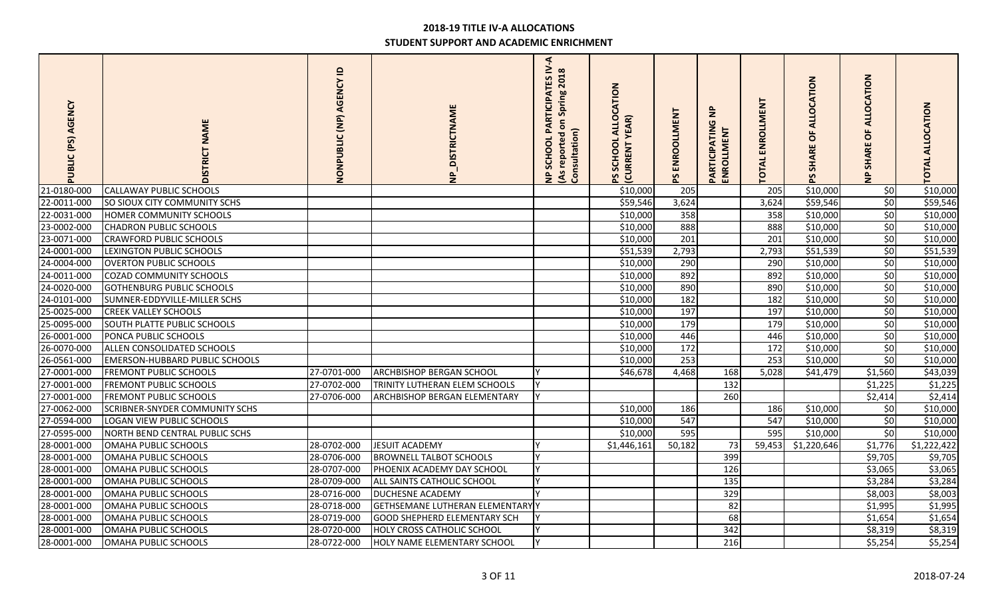| PUBLIC (PS) AGENCY | <b>NAME</b><br><b>DISTRICT</b>        | $\mathbf{a}$<br>NONPUBLIC (NP) AGENCY | <b>NP_DISTRICTNAME</b>              | F.<br><b>PARTICIPATES IV</b><br>(As reported on Spring 2018<br>Consultation)<br>SCHOOL<br>$\frac{1}{2}$ | ALLOCATION<br><b>YEAR)</b><br>SCHOOL<br><b>CURRENT</b> | PS ENROOLLMENT | $\bar{z}$<br>PARTICIPATIN<br>ENROLLMENT | ENROLLMENT<br><b>TOTAL</b> | CATION<br><b>ALLO</b><br>ŏ<br><b>SHARE</b> | CATION<br>Ŏ<br>O<br><b>SHARI</b><br>$\frac{a}{2}$ | <b>TOTAL ALLOCATION</b> |
|--------------------|---------------------------------------|---------------------------------------|-------------------------------------|---------------------------------------------------------------------------------------------------------|--------------------------------------------------------|----------------|-----------------------------------------|----------------------------|--------------------------------------------|---------------------------------------------------|-------------------------|
| 21-0180-000        | <b>CALLAWAY PUBLIC SCHOOLS</b>        |                                       |                                     |                                                                                                         | \$10,000                                               | 205            |                                         | 205                        | \$10,000                                   | \$0                                               | \$10,000                |
| 22-0011-000        | SO SIOUX CITY COMMUNITY SCHS          |                                       |                                     |                                                                                                         | \$59,546                                               | 3,624          |                                         | 3,624                      | \$59,546                                   | 50                                                | \$59,546                |
| 22-0031-000        | HOMER COMMUNITY SCHOOLS               |                                       |                                     |                                                                                                         | \$10,000                                               | 358            |                                         | 358                        | \$10,000                                   | \$0                                               | \$10,000                |
| 23-0002-000        | <b>CHADRON PUBLIC SCHOOLS</b>         |                                       |                                     |                                                                                                         | \$10,000                                               | 888            |                                         | 888                        | \$10,000                                   | \$0                                               | \$10,000                |
| 23-0071-000        | <b>CRAWFORD PUBLIC SCHOOLS</b>        |                                       |                                     |                                                                                                         | \$10,000                                               | 201            |                                         | 201                        | \$10,000                                   | 50                                                | \$10,000                |
| 24-0001-000        | LEXINGTON PUBLIC SCHOOLS              |                                       |                                     |                                                                                                         | \$51,539                                               | 2,793          |                                         | 2,793                      | \$51,539                                   | \$0                                               | \$51,539                |
| 24-0004-000        | <b>OVERTON PUBLIC SCHOOLS</b>         |                                       |                                     |                                                                                                         | \$10,000                                               | 290            |                                         | 290                        | \$10,000                                   | \$0                                               | \$10,000                |
| 24-0011-000        | <b>COZAD COMMUNITY SCHOOLS</b>        |                                       |                                     |                                                                                                         | \$10,000                                               | 892            |                                         | 892                        | \$10,000                                   | 50                                                | \$10,000                |
| 24-0020-000        | <b>GOTHENBURG PUBLIC SCHOOLS</b>      |                                       |                                     |                                                                                                         | \$10,000                                               | 890            |                                         | 890                        | \$10,000                                   | \$0                                               | \$10,000                |
| 24-0101-000        | SUMNER-EDDYVILLE-MILLER SCHS          |                                       |                                     |                                                                                                         | \$10,000                                               | 182            |                                         | 182                        | \$10,000                                   | 50                                                | \$10,000                |
| 25-0025-000        | <b>CREEK VALLEY SCHOOLS</b>           |                                       |                                     |                                                                                                         | \$10,000                                               | 197            |                                         | 197                        | \$10,000                                   | \$0                                               | \$10,000                |
| 25-0095-000        | <b>SOUTH PLATTE PUBLIC SCHOOLS</b>    |                                       |                                     |                                                                                                         | \$10,000                                               | 179            |                                         | 179                        | \$10,000                                   | 50                                                | \$10,000                |
| 26-0001-000        | PONCA PUBLIC SCHOOLS                  |                                       |                                     |                                                                                                         | \$10,000                                               | 446            |                                         | 446                        | \$10,000                                   | 50                                                | \$10,000                |
| 26-0070-000        | ALLEN CONSOLIDATED SCHOOLS            |                                       |                                     |                                                                                                         | \$10,000                                               | 172            |                                         | 172                        | \$10,000                                   | \$0                                               | \$10,000                |
| 26-0561-000        | <b>EMERSON-HUBBARD PUBLIC SCHOOLS</b> |                                       |                                     |                                                                                                         | \$10,000                                               | 253            |                                         | 253                        | \$10,000                                   | 50                                                | \$10,000                |
| 27-0001-000        | <b>FREMONT PUBLIC SCHOOLS</b>         | 27-0701-000                           | ARCHBISHOP BERGAN SCHOOL            |                                                                                                         | \$46,678                                               | 4,468          | 168                                     | 5,028                      | \$41,479                                   | \$1,560                                           | \$43,039                |
| 27-0001-000        | <b>FREMONT PUBLIC SCHOOLS</b>         | 27-0702-000                           | TRINITY LUTHERAN ELEM SCHOOLS       |                                                                                                         |                                                        |                | 132                                     |                            |                                            | \$1,225                                           | \$1,225                 |
| 27-0001-000        | <b>FREMONT PUBLIC SCHOOLS</b>         | 27-0706-000                           | <b>ARCHBISHOP BERGAN ELEMENTARY</b> |                                                                                                         |                                                        |                | 260                                     |                            |                                            | \$2,414                                           | \$2,414                 |
| 27-0062-000        | SCRIBNER-SNYDER COMMUNITY SCHS        |                                       |                                     |                                                                                                         | \$10,000                                               | 186            |                                         | 186                        | \$10,000                                   | 50                                                | \$10,000                |
| 27-0594-000        | LOGAN VIEW PUBLIC SCHOOLS             |                                       |                                     |                                                                                                         | \$10,000                                               | 547            |                                         | 547                        | \$10,000                                   | \$0                                               | \$10,000                |
| 27-0595-000        | NORTH BEND CENTRAL PUBLIC SCHS        |                                       |                                     |                                                                                                         | \$10,000                                               | 595            |                                         | 595                        | \$10,000                                   | \$0                                               | \$10,000                |
| 28-0001-000        | OMAHA PUBLIC SCHOOLS                  | 28-0702-000                           | JESUIT ACADEMY                      |                                                                                                         | \$1,446,161                                            | 50,182         | 73                                      | 59,453                     | \$1,220,646                                | \$1,776                                           | $\overline{51,}222,422$ |
| 28-0001-000        | OMAHA PUBLIC SCHOOLS                  | 28-0706-000                           | <b>BROWNELL TALBOT SCHOOLS</b>      | $\overline{\mathsf{v}}$                                                                                 |                                                        |                | 399                                     |                            |                                            | \$9,705                                           | \$9,705                 |
| 28-0001-000        | OMAHA PUBLIC SCHOOLS                  | 28-0707-000                           | PHOENIX ACADEMY DAY SCHOOL          | v                                                                                                       |                                                        |                | 126                                     |                            |                                            | \$3,065                                           | \$3,065                 |
| 28-0001-000        | OMAHA PUBLIC SCHOOLS                  | 28-0709-000                           | ALL SAINTS CATHOLIC SCHOOL          | v                                                                                                       |                                                        |                | 135                                     |                            |                                            | \$3,284                                           | \$3,284                 |
| 28-0001-000        | OMAHA PUBLIC SCHOOLS                  | 28-0716-000                           | DUCHESNE ACADEMY                    | v                                                                                                       |                                                        |                | 329                                     |                            |                                            | \$8,003                                           | \$8,003                 |
| 28-0001-000        | OMAHA PUBLIC SCHOOLS                  | 28-0718-000                           | GETHSEMANE LUTHERAN ELEMENTARY Y    |                                                                                                         |                                                        |                | 82                                      |                            |                                            | \$1,995                                           | \$1,995                 |
| 28-0001-000        | OMAHA PUBLIC SCHOOLS                  | 28-0719-000                           | <b>GOOD SHEPHERD ELEMENTARY SCH</b> |                                                                                                         |                                                        |                | 68                                      |                            |                                            | \$1,654                                           | \$1,654                 |
| 28-0001-000        | OMAHA PUBLIC SCHOOLS                  | 28-0720-000                           | <b>HOLY CROSS CATHOLIC SCHOOL</b>   |                                                                                                         |                                                        |                | 342                                     |                            |                                            | \$8,319                                           | \$8,319                 |
| 28-0001-000        | OMAHA PUBLIC SCHOOLS                  | 28-0722-000                           | HOLY NAME ELEMENTARY SCHOOL         | <b>v</b>                                                                                                |                                                        |                | 216                                     |                            |                                            | \$5,254                                           | \$5,254                 |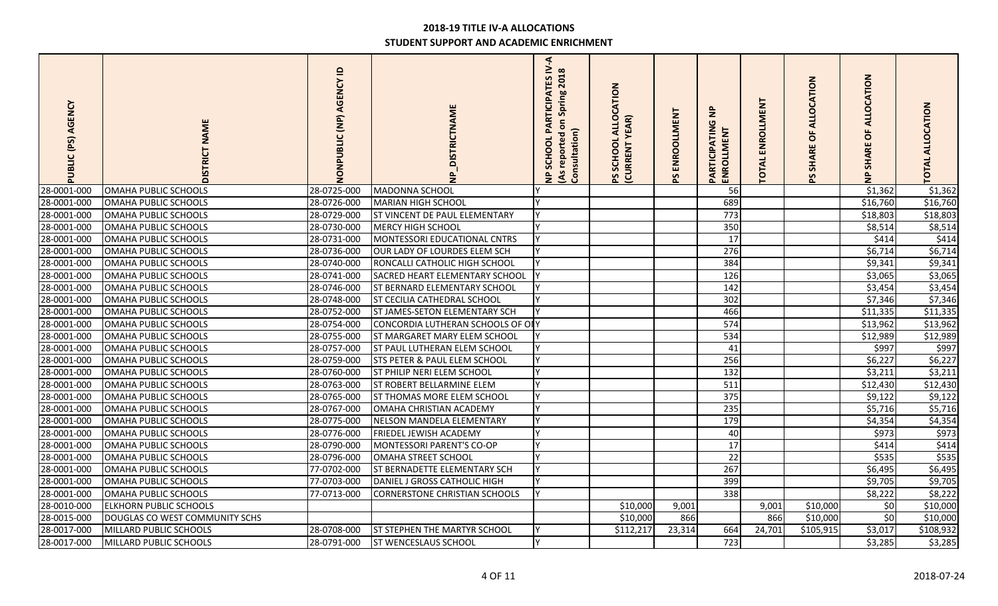| PUBLIC (PS) AGENCY | <b>NAME</b><br><b>DISTRICT</b> | $\mathbf{a}$<br>NONPUBLIC (NP) AGENCY | <b>DISTRICTNAME</b>                  | $\blacktriangleleft$<br><b>PARTICIPATES IV</b><br>(As reported on Spring 2018<br>Consultation)<br>SCHOOL<br>$\epsilon$ | CATION<br><b>ALLO</b><br><b>YEAR</b> )<br>SCHOOL<br>PS SCHOOL<br>(CURRENT | PS ENROOLLMENT | $\mathbf{z}$<br>PARTICIPATIN<br><b>ENROLLME</b> | ENROLLMENT<br><b>TOTA</b> | $\mathsf{S}$<br><b>GATI</b><br>$\circ$<br>ਟ<br>$\circ$<br>Æ<br>ৼ | <b>OCATION</b><br>ALL<br>$\circ$<br><b>SHARI</b><br>$\frac{1}{2}$ | <b>TOTAL ALLOCATION</b> |
|--------------------|--------------------------------|---------------------------------------|--------------------------------------|------------------------------------------------------------------------------------------------------------------------|---------------------------------------------------------------------------|----------------|-------------------------------------------------|---------------------------|------------------------------------------------------------------|-------------------------------------------------------------------|-------------------------|
| 28-0001-000        | OMAHA PUBLIC SCHOOLS           | 28-0725-000                           | MADONNA SCHOOL                       |                                                                                                                        |                                                                           |                | 56                                              |                           |                                                                  | \$1,362                                                           | \$1,362                 |
| 28-0001-000        | OMAHA PUBLIC SCHOOLS           | 28-0726-000                           | MARIAN HIGH SCHOOL                   |                                                                                                                        |                                                                           |                | 689                                             |                           |                                                                  | \$16,760                                                          | \$16,760                |
| 28-0001-000        | OMAHA PUBLIC SCHOOLS           | 28-0729-000                           | ST VINCENT DE PAUL ELEMENTARY        |                                                                                                                        |                                                                           |                | 773                                             |                           |                                                                  | \$18,803                                                          | \$18,803                |
| 28-0001-000        | OMAHA PUBLIC SCHOOLS           | 28-0730-000                           | <b>MERCY HIGH SCHOOL</b>             |                                                                                                                        |                                                                           |                | 350                                             |                           |                                                                  | \$8,514                                                           | \$8,514                 |
| 28-0001-000        | OMAHA PUBLIC SCHOOLS           | 28-0731-000                           | MONTESSORI EDUCATIONAL CNTRS         |                                                                                                                        |                                                                           |                | 17                                              |                           |                                                                  | \$414                                                             | \$414                   |
| 28-0001-000        | OMAHA PUBLIC SCHOOLS           | 28-0736-000                           | OUR LADY OF LOURDES ELEM SCH         |                                                                                                                        |                                                                           |                | 276                                             |                           |                                                                  | \$6,714                                                           | \$6,714                 |
| 28-0001-000        | OMAHA PUBLIC SCHOOLS           | 28-0740-000                           | RONCALLI CATHOLIC HIGH SCHOOL        |                                                                                                                        |                                                                           |                | 384                                             |                           |                                                                  | \$9,341                                                           | \$9,341                 |
| 28-0001-000        | OMAHA PUBLIC SCHOOLS           | 28-0741-000                           | SACRED HEART ELEMENTARY SCHOOL       |                                                                                                                        |                                                                           |                | 126                                             |                           |                                                                  | \$3,065                                                           | \$3,065                 |
| 28-0001-000        | OMAHA PUBLIC SCHOOLS           | 28-0746-000                           | <b>ST BERNARD ELEMENTARY SCHOOL</b>  |                                                                                                                        |                                                                           |                | 142                                             |                           |                                                                  | \$3,454                                                           | \$3,454                 |
| 28-0001-000        | OMAHA PUBLIC SCHOOLS           | 28-0748-000                           | ST CECILIA CATHEDRAL SCHOOL          |                                                                                                                        |                                                                           |                | 302                                             |                           |                                                                  | \$7,346                                                           | \$7,346                 |
| 28-0001-000        | OMAHA PUBLIC SCHOOLS           | 28-0752-000                           | ST JAMES-SETON ELEMENTARY SCH        |                                                                                                                        |                                                                           |                | 466                                             |                           |                                                                  | \$11,335                                                          | \$11,335                |
| 28-0001-000        | OMAHA PUBLIC SCHOOLS           | 28-0754-000                           | CONCORDIA LUTHERAN SCHOOLS OF OIY    |                                                                                                                        |                                                                           |                | 574                                             |                           |                                                                  | \$13,962                                                          | \$13,962                |
| 28-0001-000        | OMAHA PUBLIC SCHOOLS           | 28-0755-000                           | ST MARGARET MARY ELEM SCHOOL         |                                                                                                                        |                                                                           |                | 534                                             |                           |                                                                  | \$12,989                                                          | \$12,989                |
| 28-0001-000        | OMAHA PUBLIC SCHOOLS           | 28-0757-000                           | ST PAUL LUTHERAN ELEM SCHOOL         | v                                                                                                                      |                                                                           |                | 41                                              |                           |                                                                  | \$997                                                             | \$997                   |
| 28-0001-000        | OMAHA PUBLIC SCHOOLS           | 28-0759-000                           | STS PETER & PAUL ELEM SCHOOL         | V                                                                                                                      |                                                                           |                | 256                                             |                           |                                                                  | \$6,227                                                           | \$6,227                 |
| 28-0001-000        | OMAHA PUBLIC SCHOOLS           | 28-0760-000                           | ST PHILIP NERI ELEM SCHOOL           |                                                                                                                        |                                                                           |                | 132                                             |                           |                                                                  | \$3,211                                                           | \$3,211                 |
| 28-0001-000        | OMAHA PUBLIC SCHOOLS           | 28-0763-000                           | <b>ST ROBERT BELLARMINE ELEM</b>     |                                                                                                                        |                                                                           |                | 511                                             |                           |                                                                  | \$12,430                                                          | \$12,430                |
| 28-0001-000        | OMAHA PUBLIC SCHOOLS           | 28-0765-000                           | <b>ST THOMAS MORE ELEM SCHOOL</b>    | $\mathsf{v}$                                                                                                           |                                                                           |                | 375                                             |                           |                                                                  | \$9,122                                                           | \$9,122                 |
| 28-0001-000        | OMAHA PUBLIC SCHOOLS           | 28-0767-000                           | OMAHA CHRISTIAN ACADEMY              | v                                                                                                                      |                                                                           |                | 235                                             |                           |                                                                  | \$5,716                                                           | \$5,716                 |
| 28-0001-000        | OMAHA PUBLIC SCHOOLS           | 28-0775-000                           | NELSON MANDELA ELEMENTARY            |                                                                                                                        |                                                                           |                | 179                                             |                           |                                                                  | \$4,354                                                           | \$4,354                 |
| 28-0001-000        | OMAHA PUBLIC SCHOOLS           | 28-0776-000                           | <b>FRIEDEL JEWISH ACADEMY</b>        |                                                                                                                        |                                                                           |                | 40                                              |                           |                                                                  | \$973                                                             | \$973                   |
| 28-0001-000        | OMAHA PUBLIC SCHOOLS           | 28-0790-000                           | MONTESSORI PARENT'S CO-OP            | v                                                                                                                      |                                                                           |                | 17                                              |                           |                                                                  | \$414                                                             | \$414                   |
| 28-0001-000        | OMAHA PUBLIC SCHOOLS           | 28-0796-000                           | OMAHA STREET SCHOOL                  |                                                                                                                        |                                                                           |                | $\overline{22}$                                 |                           |                                                                  | \$535                                                             | \$535                   |
| 28-0001-000        | OMAHA PUBLIC SCHOOLS           | 77-0702-000                           | ST BERNADETTE ELEMENTARY SCH         |                                                                                                                        |                                                                           |                | 267                                             |                           |                                                                  | \$6,495                                                           | \$6,495                 |
| 28-0001-000        | OMAHA PUBLIC SCHOOLS           | 77-0703-000                           | DANIEL J GROSS CATHOLIC HIGH         |                                                                                                                        |                                                                           |                | 399                                             |                           |                                                                  | \$9,705                                                           | \$9,705                 |
| 28-0001-000        | OMAHA PUBLIC SCHOOLS           | 77-0713-000                           | <b>CORNERSTONE CHRISTIAN SCHOOLS</b> | I۷                                                                                                                     |                                                                           |                | 338                                             |                           |                                                                  | \$8,222                                                           | \$8,222                 |
| 28-0010-000        | <b>ELKHORN PUBLIC SCHOOLS</b>  |                                       |                                      |                                                                                                                        | \$10,000                                                                  | 9,001          |                                                 | 9,001                     | \$10,000                                                         | \$0                                                               | \$10,000                |
| 28-0015-000        | DOUGLAS CO WEST COMMUNITY SCHS |                                       |                                      |                                                                                                                        | \$10,000                                                                  | 866            |                                                 | 866                       | \$10,000                                                         | \$0                                                               | \$10,000                |
| 28-0017-000        | MILLARD PUBLIC SCHOOLS         | 28-0708-000                           | <b>ST STEPHEN THE MARTYR SCHOOL</b>  | V                                                                                                                      | \$112,217                                                                 | 23,314         | 664                                             | 24,701                    | \$105,915                                                        | \$3,017                                                           | \$108,932               |
| 28-0017-000        | MILLARD PUBLIC SCHOOLS         | 28-0791-000                           | <b>ST WENCESLAUS SCHOOL</b>          | v                                                                                                                      |                                                                           |                | 723                                             |                           |                                                                  | \$3,285                                                           | \$3,285                 |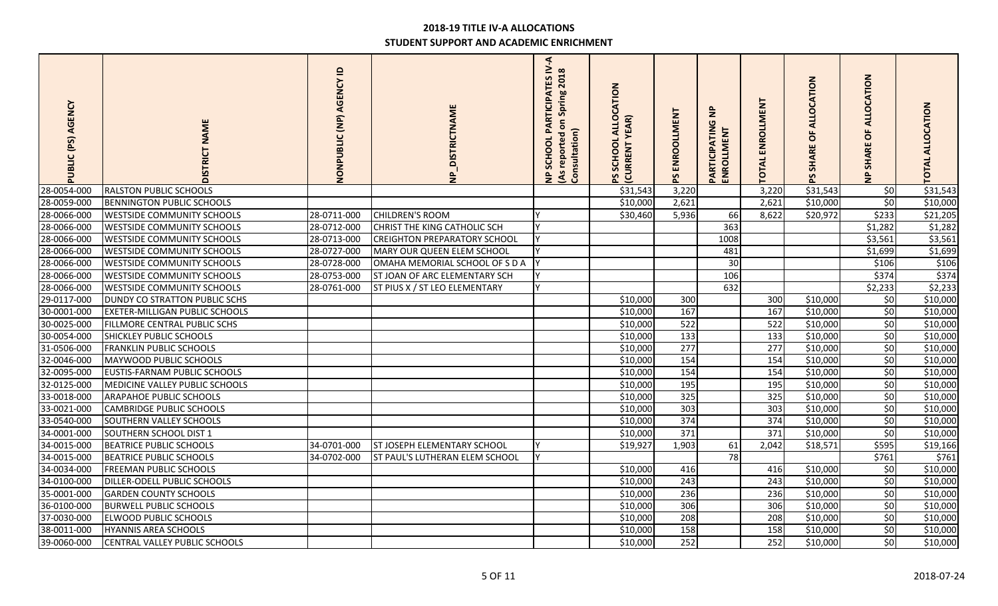| AGENCY<br>PUBLIC (PS) | <b>NAME</b><br>DISTRICT               | $\mathbf{r}$<br>NONPUBLIC (NP) AGENCY | NP_DISTRICTNAME                     | F.<br>PARTICIPATES IV<br>(As reported on Spring 2018<br>Consultation)<br>SCHOOL<br>$\frac{1}{2}$ | <b>ALLOCATION</b><br>EAR)<br>SCHOOL<br><b>CURRENT</b> | PS ENROOLLMENT | $\epsilon$<br>PARTICIPATING<br><b>ENROLLMENT</b> | ENROLLMENT<br><b>TOTAL</b> | CATION<br><b>ALLO</b><br>ŏ<br><b>SHARE</b><br>59 | CATION<br>O<br>$\circ$<br><b>SHARI</b> | TOTAL ALLOCATION |
|-----------------------|---------------------------------------|---------------------------------------|-------------------------------------|--------------------------------------------------------------------------------------------------|-------------------------------------------------------|----------------|--------------------------------------------------|----------------------------|--------------------------------------------------|----------------------------------------|------------------|
| 28-0054-000           | <b>RALSTON PUBLIC SCHOOLS</b>         |                                       |                                     |                                                                                                  | \$31,543                                              | 3,220          |                                                  | 3,220                      | \$31,543                                         | \$0                                    | \$31,543         |
| 28-0059-000           | <b>BENNINGTON PUBLIC SCHOOLS</b>      |                                       |                                     |                                                                                                  | \$10,000                                              | 2,621          |                                                  | 2,621                      | \$10,000                                         | $\overline{\xi}$                       | \$10,000         |
| 28-0066-000           | <b>WESTSIDE COMMUNITY SCHOOLS</b>     | 28-0711-000                           | <b>CHILDREN'S ROOM</b>              |                                                                                                  | \$30,460                                              | 5,936          | 66                                               | 8,622                      | \$20,972                                         | \$233                                  | \$21,205         |
| 28-0066-000           | <b>WESTSIDE COMMUNITY SCHOOLS</b>     | 28-0712-000                           | CHRIST THE KING CATHOLIC SCH        |                                                                                                  |                                                       |                | 363                                              |                            |                                                  | \$1,282                                | \$1,282          |
| 28-0066-000           | WESTSIDE COMMUNITY SCHOOLS            | 28-0713-000                           | <b>CREIGHTON PREPARATORY SCHOOL</b> |                                                                                                  |                                                       |                | 1008                                             |                            |                                                  | \$3,561                                | \$3,561          |
| 28-0066-000           | <b>WESTSIDE COMMUNITY SCHOOLS</b>     | 28-0727-000                           | MARY OUR QUEEN ELEM SCHOOL          |                                                                                                  |                                                       |                | 481                                              |                            |                                                  | \$1,699                                | \$1,699          |
| 28-0066-000           | <b>WESTSIDE COMMUNITY SCHOOLS</b>     | 28-0728-000                           | OMAHA MEMORIAL SCHOOL OF S D A      |                                                                                                  |                                                       |                | 30                                               |                            |                                                  | \$106                                  | \$106            |
| 28-0066-000           | <b>WESTSIDE COMMUNITY SCHOOLS</b>     | 28-0753-000                           | ST JOAN OF ARC ELEMENTARY SCH       |                                                                                                  |                                                       |                | 106                                              |                            |                                                  | \$374                                  | \$374            |
| 28-0066-000           | <b>WESTSIDE COMMUNITY SCHOOLS</b>     | 28-0761-000                           | ST PIUS X / ST LEO ELEMENTARY       | <b>Y</b>                                                                                         |                                                       |                | 632                                              |                            |                                                  | \$2,233                                | \$2,233          |
| 29-0117-000           | <b>DUNDY CO STRATTON PUBLIC SCHS</b>  |                                       |                                     |                                                                                                  | \$10,000                                              | 300            |                                                  | 300                        | \$10,000                                         | \$0                                    | \$10,000         |
| 30-0001-000           | <b>EXETER-MILLIGAN PUBLIC SCHOOLS</b> |                                       |                                     |                                                                                                  | \$10,000                                              | 167            |                                                  | 167                        | \$10,000                                         | 50                                     | \$10,000         |
| 30-0025-000           | FILLMORE CENTRAL PUBLIC SCHS          |                                       |                                     |                                                                                                  | \$10,000                                              | 522            |                                                  | 522                        | \$10,000                                         | 50                                     | \$10,000         |
| 30-0054-000           | <b>SHICKLEY PUBLIC SCHOOLS</b>        |                                       |                                     |                                                                                                  | \$10,000                                              | 133            |                                                  | 133                        | \$10,000                                         | 50                                     | \$10,000         |
| 31-0506-000           | <b>FRANKLIN PUBLIC SCHOOLS</b>        |                                       |                                     |                                                                                                  | \$10,000                                              | 277            |                                                  | 277                        | \$10,000                                         | 50                                     | \$10,000         |
| 32-0046-000           | MAYWOOD PUBLIC SCHOOLS                |                                       |                                     |                                                                                                  | \$10,000                                              | 154            |                                                  | 154                        | \$10,000                                         | 50                                     | \$10,000         |
| 32-0095-000           | EUSTIS-FARNAM PUBLIC SCHOOLS          |                                       |                                     |                                                                                                  | \$10,000                                              | 154            |                                                  | 154                        | \$10,000                                         | 50                                     | \$10,000         |
| 32-0125-000           | MEDICINE VALLEY PUBLIC SCHOOLS        |                                       |                                     |                                                                                                  | \$10,000                                              | 195            |                                                  | 195                        | \$10,000                                         | \$0                                    | \$10,000         |
| 33-0018-000           | <b>ARAPAHOE PUBLIC SCHOOLS</b>        |                                       |                                     |                                                                                                  | \$10,000                                              | 325            |                                                  | 325                        | \$10,000                                         | \$0                                    | \$10,000         |
| 33-0021-000           | <b>CAMBRIDGE PUBLIC SCHOOLS</b>       |                                       |                                     |                                                                                                  | \$10,000                                              | 303            |                                                  | 303                        | \$10,000                                         | 50                                     | \$10,000         |
| 33-0540-000           | SOUTHERN VALLEY SCHOOLS               |                                       |                                     |                                                                                                  | \$10,000                                              | 374            |                                                  | 374                        | \$10,000                                         | \$0                                    | \$10,000         |
| 34-0001-000           | SOUTHERN SCHOOL DIST 1                |                                       |                                     |                                                                                                  | \$10,000                                              | 371            |                                                  | 371                        | \$10,000                                         | 50                                     | \$10,000         |
| 34-0015-000           | <b>BEATRICE PUBLIC SCHOOLS</b>        | 34-0701-000                           | <b>ST JOSEPH ELEMENTARY SCHOOL</b>  |                                                                                                  | \$19,927                                              | 1,903          | 61                                               | 2,042                      | \$18,571                                         | \$595                                  | \$19,166         |
| 34-0015-000           | <b>BEATRICE PUBLIC SCHOOLS</b>        | 34-0702-000                           | ST PAUL'S LUTHERAN ELEM SCHOOL      |                                                                                                  |                                                       |                | 78                                               |                            |                                                  | \$761                                  | \$761            |
| 34-0034-000           | <b>FREEMAN PUBLIC SCHOOLS</b>         |                                       |                                     |                                                                                                  | \$10,000                                              | 416            |                                                  | 416                        | \$10,000                                         | \$0                                    | \$10,000         |
| 34-0100-000           | <b>DILLER-ODELL PUBLIC SCHOOLS</b>    |                                       |                                     |                                                                                                  | \$10,000                                              | 243            |                                                  | 243                        | \$10,000                                         | \$0                                    | \$10,000         |
| 35-0001-000           | <b>GARDEN COUNTY SCHOOLS</b>          |                                       |                                     |                                                                                                  | \$10,000                                              | 236            |                                                  | 236                        | \$10,000                                         | 50                                     | \$10,000         |
| 36-0100-000           | <b>BURWELL PUBLIC SCHOOLS</b>         |                                       |                                     |                                                                                                  | \$10,000                                              | 306            |                                                  | 306                        | \$10,000                                         | 50                                     | \$10,000         |
| 37-0030-000           | <b>ELWOOD PUBLIC SCHOOLS</b>          |                                       |                                     |                                                                                                  | \$10,000                                              | 208            |                                                  | 208                        | \$10,000                                         | \$0                                    | \$10,000         |
| 38-0011-000           | <b>HYANNIS AREA SCHOOLS</b>           |                                       |                                     |                                                                                                  | \$10,000                                              | 158            |                                                  | 158                        | \$10,000                                         | \$0                                    | \$10,000         |
| 39-0060-000           | CENTRAL VALLEY PUBLIC SCHOOLS         |                                       |                                     |                                                                                                  | \$10,000                                              | 252            |                                                  | 252                        | \$10,000                                         | 50                                     | \$10,000         |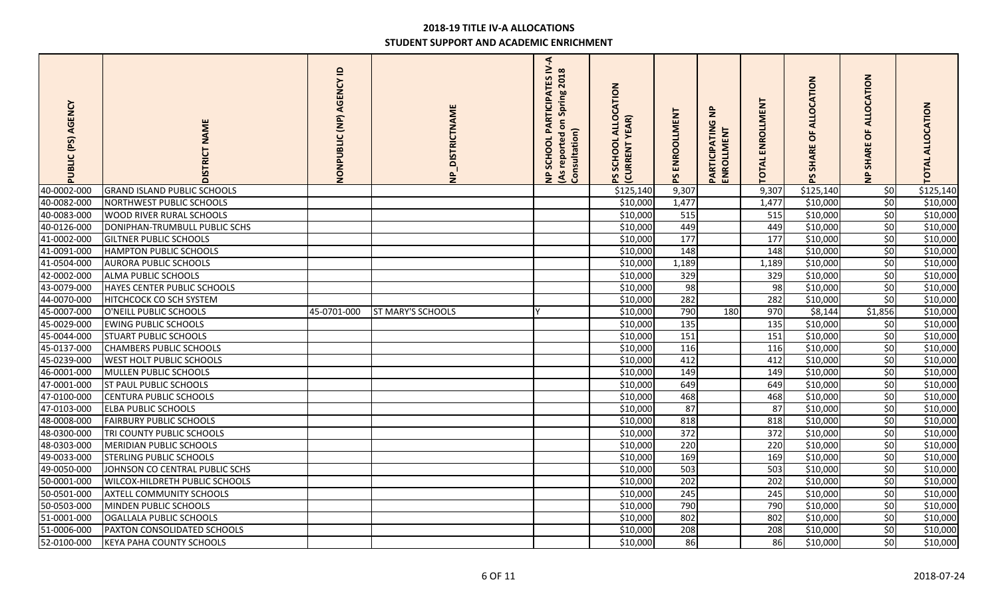| AGENCY<br>PUBLIC (PS) | <b>NAME</b><br><b>DISTRICT</b>        | $\mathbf{a}$<br>NONPUBLIC (NP) AGENCY | NP_DISTRICTNAME          | $\triangleleft$<br>PARTICIPATES IV<br>(As reported on Spring 2018<br>Consultation)<br>SCHOOL<br>$\epsilon$ | ALLOCATION<br><b>YEAR</b> )<br>SCHOOL<br><b>CURRENT</b> | PS ENROOLLMENT   | $\epsilon$<br>PARTICIPATIN<br>ENROLLMENT | ENROLLMENT<br>TOTAL | ALLOCATION<br>ŏ<br><b>SHARE</b> | <b>OCATION</b><br>ᆗ<br>$\circ$<br><b>SHARI</b><br>$\frac{1}{2}$ | <b>TOTAL ALLOCATION</b> |
|-----------------------|---------------------------------------|---------------------------------------|--------------------------|------------------------------------------------------------------------------------------------------------|---------------------------------------------------------|------------------|------------------------------------------|---------------------|---------------------------------|-----------------------------------------------------------------|-------------------------|
| 40-0002-000           | <b>GRAND ISLAND PUBLIC SCHOOLS</b>    |                                       |                          |                                                                                                            | \$125,140                                               | 9,307            |                                          | 9,307               | \$125,140                       | \$0                                                             | \$125,140               |
| 40-0082-000           | NORTHWEST PUBLIC SCHOOLS              |                                       |                          |                                                                                                            | \$10,000                                                | 1,477            |                                          | 1,477               | \$10,000                        | $\vert$ \$0                                                     | \$10,000                |
| 40-0083-000           | WOOD RIVER RURAL SCHOOLS              |                                       |                          |                                                                                                            | \$10,000                                                | 515              |                                          | 515                 | \$10,000                        | 50                                                              | \$10,000                |
| 40-0126-000           | DONIPHAN-TRUMBULL PUBLIC SCHS         |                                       |                          |                                                                                                            | \$10,000                                                | 449              |                                          | 449                 | \$10,000                        | 50                                                              | \$10,000                |
| 41-0002-000           | <b>GILTNER PUBLIC SCHOOLS</b>         |                                       |                          |                                                                                                            | \$10,000                                                | $\overline{177}$ |                                          | $\overline{177}$    | \$10,000                        | 50                                                              | \$10,000                |
| 41-0091-000           | <b>HAMPTON PUBLIC SCHOOLS</b>         |                                       |                          |                                                                                                            | \$10,000                                                | 148              |                                          | 148                 | \$10,000                        | \$0                                                             | \$10,000                |
| 41-0504-000           | <b>AURORA PUBLIC SCHOOLS</b>          |                                       |                          |                                                                                                            | \$10,000                                                | 1,189            |                                          | 1,189               | \$10,000                        | \$0                                                             | \$10,000                |
| 42-0002-000           | ALMA PUBLIC SCHOOLS                   |                                       |                          |                                                                                                            | \$10,000                                                | 329              |                                          | 329                 | \$10,000                        | 50                                                              | \$10,000                |
| 43-0079-000           | HAYES CENTER PUBLIC SCHOOLS           |                                       |                          |                                                                                                            | \$10,000                                                | 98               |                                          | 98                  | \$10,000                        | \$0                                                             | \$10,000                |
| 44-0070-000           | HITCHCOCK CO SCH SYSTEM               |                                       |                          |                                                                                                            | \$10,000                                                | 282              |                                          | 282                 | \$10,000                        | \$0                                                             | \$10,000                |
| 45-0007-000           | O'NEILL PUBLIC SCHOOLS                | 45-0701-000                           | <b>ST MARY'S SCHOOLS</b> |                                                                                                            | \$10,000                                                | 790              | 180                                      | 970                 | \$8,144                         | \$1,856                                                         | \$10,000                |
| 45-0029-000           | <b>EWING PUBLIC SCHOOLS</b>           |                                       |                          |                                                                                                            | \$10,000                                                | 135              |                                          | 135                 | \$10,000                        | \$0                                                             | \$10,000                |
| 45-0044-000           | <b>STUART PUBLIC SCHOOLS</b>          |                                       |                          |                                                                                                            | \$10,000                                                | 151              |                                          | 151                 | \$10,000                        | 50                                                              | $\overline{$}10,000$    |
| 45-0137-000           | <b>CHAMBERS PUBLIC SCHOOLS</b>        |                                       |                          |                                                                                                            | \$10,000                                                | 116              |                                          | 116                 | \$10,000                        | 50                                                              | \$10,000                |
| 45-0239-000           | WEST HOLT PUBLIC SCHOOLS              |                                       |                          |                                                                                                            | \$10,000                                                | 412              |                                          | 412                 | \$10,000                        | 50                                                              | \$10,000                |
| 46-0001-000           | MULLEN PUBLIC SCHOOLS                 |                                       |                          |                                                                                                            | \$10,000                                                | 149              |                                          | 149                 | \$10,000                        | 50                                                              | \$10,000                |
| 47-0001-000           | <b>ST PAUL PUBLIC SCHOOLS</b>         |                                       |                          |                                                                                                            | \$10,000                                                | 649              |                                          | 649                 | \$10,000                        | \$0                                                             | \$10,000                |
| 47-0100-000           | CENTURA PUBLIC SCHOOLS                |                                       |                          |                                                                                                            | \$10,000                                                | 468              |                                          | 468                 | \$10,000                        | \$0                                                             | \$10,000                |
| 47-0103-000           | <b>ELBA PUBLIC SCHOOLS</b>            |                                       |                          |                                                                                                            | \$10,000                                                | 87               |                                          | 87                  | \$10,000                        | \$0                                                             | \$10,000                |
| 48-0008-000           | <b>FAIRBURY PUBLIC SCHOOLS</b>        |                                       |                          |                                                                                                            | \$10,000                                                | 818              |                                          | 818                 | \$10,000                        | 50                                                              | \$10,000                |
| 48-0300-000           | TRI COUNTY PUBLIC SCHOOLS             |                                       |                          |                                                                                                            | \$10,000                                                | 372              |                                          | 372                 | \$10,000                        | \$0                                                             | \$10,000                |
| 48-0303-000           | MERIDIAN PUBLIC SCHOOLS               |                                       |                          |                                                                                                            | \$10,000                                                | 220              |                                          | 220                 | \$10,000                        | 50                                                              | \$10,000                |
| 49-0033-000           | <b>STERLING PUBLIC SCHOOLS</b>        |                                       |                          |                                                                                                            | \$10,000                                                | 169              |                                          | 169                 | \$10,000                        | \$0                                                             | \$10,000                |
| 49-0050-000           | JOHNSON CO CENTRAL PUBLIC SCHS        |                                       |                          |                                                                                                            | \$10,000                                                | 503              |                                          | 503                 | \$10,000                        | \$0                                                             | \$10,000                |
| 50-0001-000           | <b>WILCOX-HILDRETH PUBLIC SCHOOLS</b> |                                       |                          |                                                                                                            | \$10,000                                                | 202              |                                          | 202                 | \$10,000                        | \$0                                                             | \$10,000                |
| 50-0501-000           | <b>AXTELL COMMUNITY SCHOOLS</b>       |                                       |                          |                                                                                                            | \$10,000                                                | 245              |                                          | 245                 | \$10,000                        | \$0                                                             | \$10,000                |
| 50-0503-000           | MINDEN PUBLIC SCHOOLS                 |                                       |                          |                                                                                                            | \$10,000                                                | 790              |                                          | 790                 | \$10,000                        | 50                                                              | \$10,000                |
| 51-0001-000           | OGALLALA PUBLIC SCHOOLS               |                                       |                          |                                                                                                            | \$10,000                                                | 802              |                                          | 802                 | \$10,000                        | \$0                                                             | \$10,000                |
| 51-0006-000           | PAXTON CONSOLIDATED SCHOOLS           |                                       |                          |                                                                                                            | \$10,000                                                | 208              |                                          | 208                 | \$10,000                        | \$0                                                             | \$10,000                |
| 52-0100-000           | <b>KEYA PAHA COUNTY SCHOOLS</b>       |                                       |                          |                                                                                                            | \$10,000                                                | 86               |                                          | 86                  | \$10,000                        | 50                                                              | \$10,000                |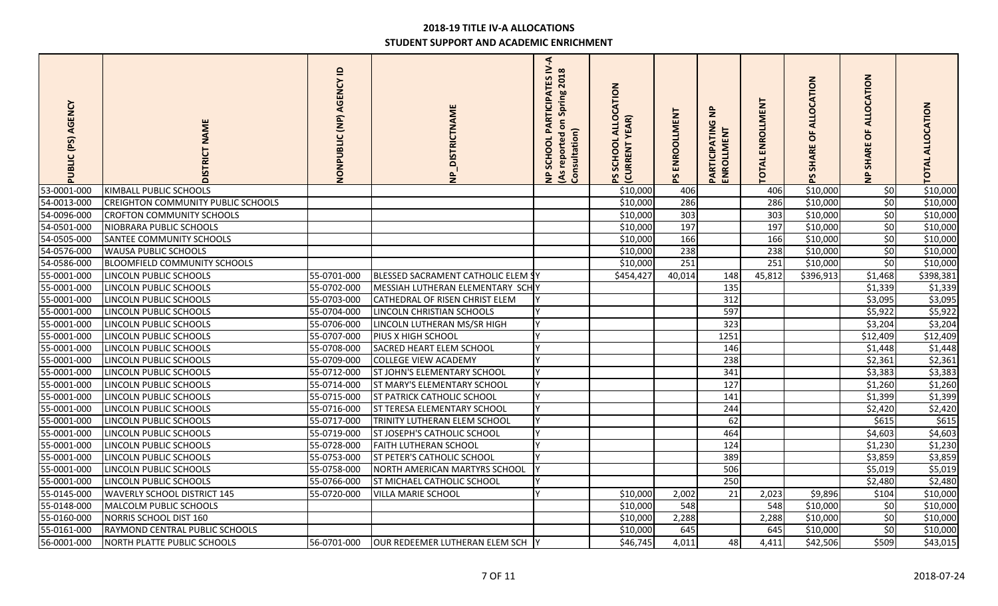| AGENCY<br>PUBLIC (PS) | <b>NAME</b><br><b>DISTRICT</b>            | $\mathbf{a}$<br>NONPUBLIC (NP) AGENCY | <b>DISTRICTNAME</b><br>$\frac{a}{2}$ | $\blacktriangleleft$<br><b>PARTICIPATES IV</b><br>(As reported on Spring 2018<br>Consultation)<br>SCHOOL<br>$\epsilon$ | CATION<br><b>ALLO</b><br><b>YEAR</b> )<br>SCHOOL<br><b>CURRENT</b><br>59 | PS ENROOLLMENT | $\overline{z}$<br><b>PARTICIPATING</b><br>ENROLLMENT | ENROLLMENT<br><b>TOTAL</b> | CATION<br><b>ALLO</b><br>ŏ<br><b>SHARE</b> | CATION<br>O<br>$\circ$<br><b>SHARI</b> | <b>TOTAL ALLOCATION</b> |
|-----------------------|-------------------------------------------|---------------------------------------|--------------------------------------|------------------------------------------------------------------------------------------------------------------------|--------------------------------------------------------------------------|----------------|------------------------------------------------------|----------------------------|--------------------------------------------|----------------------------------------|-------------------------|
| 53-0001-000           | KIMBALL PUBLIC SCHOOLS                    |                                       |                                      |                                                                                                                        | \$10,000                                                                 | 406            |                                                      | 406                        | \$10,000                                   | \$0                                    | \$10,000                |
| 54-0013-000           | <b>CREIGHTON COMMUNITY PUBLIC SCHOOLS</b> |                                       |                                      |                                                                                                                        | \$10,000                                                                 | 286            |                                                      | 286                        | \$10,000                                   | $\frac{1}{2}$                          | \$10,000                |
| 54-0096-000           | <b>CROFTON COMMUNITY SCHOOLS</b>          |                                       |                                      |                                                                                                                        | \$10,000                                                                 | 303            |                                                      | 303                        | \$10,000                                   | \$0                                    | \$10,000                |
| 54-0501-000           | NIOBRARA PUBLIC SCHOOLS                   |                                       |                                      |                                                                                                                        | \$10,000                                                                 | 197            |                                                      | 197                        | \$10,000                                   | \$0                                    | \$10,000                |
| 54-0505-000           | <b>SANTEE COMMUNITY SCHOOLS</b>           |                                       |                                      |                                                                                                                        | \$10,000                                                                 | 166            |                                                      | 166                        | \$10,000                                   | $\frac{1}{2}$                          | \$10,000                |
| 54-0576-000           | <b>WAUSA PUBLIC SCHOOLS</b>               |                                       |                                      |                                                                                                                        | \$10,000                                                                 | 238            |                                                      | 238                        | \$10,000                                   | \$0                                    | \$10,000                |
| 54-0586-000           | <b>BLOOMFIELD COMMUNITY SCHOOLS</b>       |                                       |                                      |                                                                                                                        | \$10,000                                                                 | 251            |                                                      | 251                        | \$10,000                                   | 50                                     | \$10,000                |
| 55-0001-000           | LINCOLN PUBLIC SCHOOLS                    | 55-0701-000                           | BLESSED SACRAMENT CATHOLIC ELEM SY   |                                                                                                                        | \$454,427                                                                | 40,014         | 148                                                  | 45,812                     | \$396,913                                  | \$1,468                                | \$398,381               |
| 55-0001-000           | LINCOLN PUBLIC SCHOOLS                    | 55-0702-000                           | MESSIAH LUTHERAN ELEMENTARY SCHY     |                                                                                                                        |                                                                          |                | 135                                                  |                            |                                            | \$1,339                                | \$1,339                 |
| 55-0001-000           | LINCOLN PUBLIC SCHOOLS                    | 55-0703-000                           | CATHEDRAL OF RISEN CHRIST ELEM       |                                                                                                                        |                                                                          |                | 312                                                  |                            |                                            | \$3,095                                | \$3,095                 |
| 55-0001-000           | LINCOLN PUBLIC SCHOOLS                    | 55-0704-000                           | LINCOLN CHRISTIAN SCHOOLS            |                                                                                                                        |                                                                          |                | 597                                                  |                            |                                            | \$5,922                                | \$5,922                 |
| 55-0001-000           | LINCOLN PUBLIC SCHOOLS                    | 55-0706-000                           | LINCOLN LUTHERAN MS/SR HIGH          | V                                                                                                                      |                                                                          |                | 323                                                  |                            |                                            | \$3,204                                | \$3,204                 |
| 55-0001-000           | LINCOLN PUBLIC SCHOOLS                    | 55-0707-000                           | PIUS X HIGH SCHOOL                   | $\mathsf{v}$                                                                                                           |                                                                          |                | 1251                                                 |                            |                                            | \$12,409                               | \$12,409                |
| 55-0001-000           | LINCOLN PUBLIC SCHOOLS                    | 55-0708-000                           | SACRED HEART ELEM SCHOOL             |                                                                                                                        |                                                                          |                | 146                                                  |                            |                                            | \$1,448                                | \$1,448                 |
| 55-0001-000           | LINCOLN PUBLIC SCHOOLS                    | 55-0709-000                           | <b>COLLEGE VIEW ACADEMY</b>          |                                                                                                                        |                                                                          |                | 238                                                  |                            |                                            | \$2,361                                | \$2,361                 |
| 55-0001-000           | LINCOLN PUBLIC SCHOOLS                    | 55-0712-000                           | ST JOHN'S ELEMENTARY SCHOOL          | V                                                                                                                      |                                                                          |                | 341                                                  |                            |                                            | \$3,383                                | \$3,383                 |
| 55-0001-000           | LINCOLN PUBLIC SCHOOLS                    | 55-0714-000                           | <b>ST MARY'S ELEMENTARY SCHOOL</b>   | $\vee$                                                                                                                 |                                                                          |                | 127                                                  |                            |                                            | \$1,260                                | \$1,260                 |
| 55-0001-000           | LINCOLN PUBLIC SCHOOLS                    | 55-0715-000                           | <b>ST PATRICK CATHOLIC SCHOOL</b>    |                                                                                                                        |                                                                          |                | 141                                                  |                            |                                            | \$1,399                                | \$1,399                 |
| 55-0001-000           | LINCOLN PUBLIC SCHOOLS                    | 55-0716-000                           | ST TERESA ELEMENTARY SCHOOL          | v                                                                                                                      |                                                                          |                | 244                                                  |                            |                                            | \$2,420                                | \$2,420                 |
| 55-0001-000           | LINCOLN PUBLIC SCHOOLS                    | 55-0717-000                           | TRINITY LUTHERAN ELEM SCHOOL         | Y                                                                                                                      |                                                                          |                | 62                                                   |                            |                                            | \$615                                  | \$615                   |
| 55-0001-000           | LINCOLN PUBLIC SCHOOLS                    | 55-0719-000                           | ST JOSEPH'S CATHOLIC SCHOOL          | $\mathsf{v}$                                                                                                           |                                                                          |                | 464                                                  |                            |                                            | \$4,603                                | \$4,603                 |
| 55-0001-000           | LINCOLN PUBLIC SCHOOLS                    | 55-0728-000                           | <b>FAITH LUTHERAN SCHOOL</b>         |                                                                                                                        |                                                                          |                | 124                                                  |                            |                                            | \$1,230                                | \$1,230                 |
| 55-0001-000           | LINCOLN PUBLIC SCHOOLS                    | 55-0753-000                           | ST PETER'S CATHOLIC SCHOOL           |                                                                                                                        |                                                                          |                | 389                                                  |                            |                                            | \$3,859                                | \$3,859                 |
| 55-0001-000           | LINCOLN PUBLIC SCHOOLS                    | 55-0758-000                           | NORTH AMERICAN MARTYRS SCHOOL        |                                                                                                                        |                                                                          |                | 506                                                  |                            |                                            | \$5,019                                | \$5,019                 |
| 55-0001-000           | LINCOLN PUBLIC SCHOOLS                    | 55-0766-000                           | ST MICHAEL CATHOLIC SCHOOL           |                                                                                                                        |                                                                          |                | 250                                                  |                            |                                            | \$2,480                                | \$2,480                 |
| 55-0145-000           | <b>WAVERLY SCHOOL DISTRICT 145</b>        | 55-0720-000                           | <b>VILLA MARIE SCHOOL</b>            | $\vee$                                                                                                                 | \$10,000                                                                 | 2,002          | 21                                                   | 2,023                      | \$9,896                                    | \$104                                  | \$10,000                |
| 55-0148-000           | MALCOLM PUBLIC SCHOOLS                    |                                       |                                      |                                                                                                                        | \$10,000                                                                 | 548            |                                                      | 548                        | \$10,000                                   | 50                                     | \$10,000                |
| 55-0160-000           | NORRIS SCHOOL DIST 160                    |                                       |                                      |                                                                                                                        | \$10,000                                                                 | 2,288          |                                                      | 2,288                      | \$10,000                                   | \$0                                    | \$10,000                |
| 55-0161-000           | RAYMOND CENTRAL PUBLIC SCHOOLS            |                                       |                                      |                                                                                                                        | \$10,000                                                                 | 645            |                                                      | 645                        | \$10,000                                   | 50                                     | \$10,000                |
| 56-0001-000           | <b>NORTH PLATTE PUBLIC SCHOOLS</b>        | 56-0701-000                           | OUR REDEEMER LUTHERAN ELEM SCH       |                                                                                                                        | \$46,745                                                                 | 4,011          | 48                                                   | 4,411                      | \$42,506                                   | \$509                                  | \$43,015                |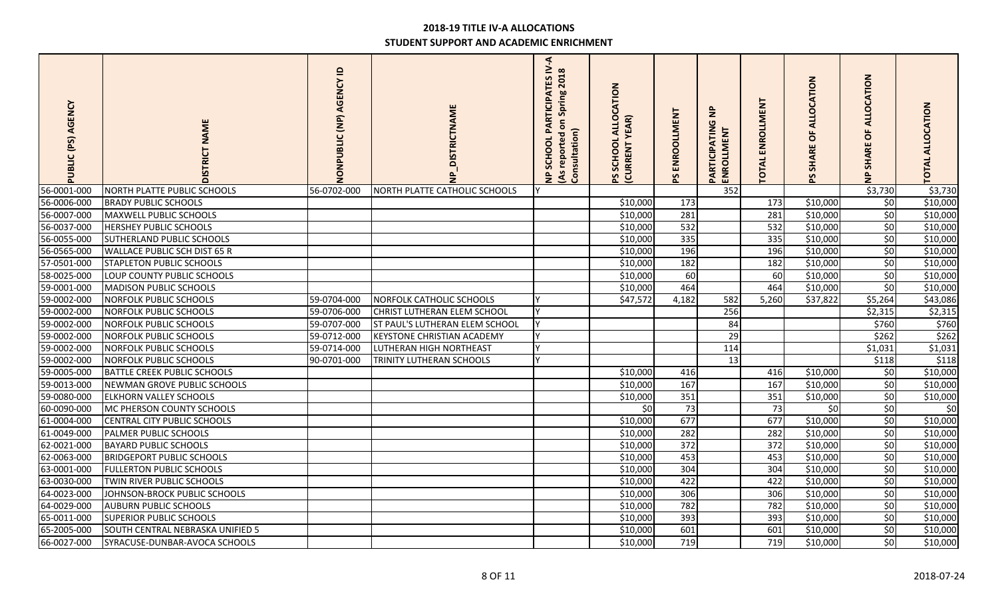| PUBLIC (PS) AGENCY | <b>NAME</b><br>DISTRICT            | $\mathbf{a}$<br>NONPUBLIC (NP) AGENCY | DISTRICTNAME                      | $\triangleleft$<br>PARTICIPATES IV<br>(As reported on Spring 2018<br>Consultation)<br>SCHOOL<br>$\epsilon$ | <b>ALLOCATION</b><br><b>YEAR</b> )<br>SCHOOL<br><b>CURRENT</b> | PS ENROOLLMENT | $\epsilon$<br>PARTICIPATIN<br><b>ENROLLMENT</b> | ENROLLMENT<br><b>TOTAL</b> | ALLOCATION<br>ŏ<br><b>SHARE</b> | <b>OCATION</b><br>₹<br>$\circ$<br><b>SHARI</b><br>$\frac{1}{2}$ | <b>TOTAL ALLOCATION</b> |
|--------------------|------------------------------------|---------------------------------------|-----------------------------------|------------------------------------------------------------------------------------------------------------|----------------------------------------------------------------|----------------|-------------------------------------------------|----------------------------|---------------------------------|-----------------------------------------------------------------|-------------------------|
| 56-0001-000        | NORTH PLATTE PUBLIC SCHOOLS        | 56-0702-000                           | NORTH PLATTE CATHOLIC SCHOOLS     |                                                                                                            |                                                                |                | 352                                             |                            |                                 | \$3,730                                                         | \$3,730                 |
| 56-0006-000        | <b>BRADY PUBLIC SCHOOLS</b>        |                                       |                                   |                                                                                                            | \$10,000                                                       | 173            |                                                 | 173                        | \$10,000                        | 50                                                              | \$10,000                |
| 56-0007-000        | MAXWELL PUBLIC SCHOOLS             |                                       |                                   |                                                                                                            | \$10,000                                                       | 281            |                                                 | 281                        | \$10,000                        | \$0                                                             | \$10,000                |
| 56-0037-000        | <b>HERSHEY PUBLIC SCHOOLS</b>      |                                       |                                   |                                                                                                            | \$10,000                                                       | 532            |                                                 | 532                        | \$10,000                        | \$0                                                             | \$10,000                |
| 56-0055-000        | SUTHERLAND PUBLIC SCHOOLS          |                                       |                                   |                                                                                                            | \$10,000                                                       | 335            |                                                 | 335                        | $\overline{$}10,000$            | 50                                                              | \$10,000                |
| 56-0565-000        | WALLACE PUBLIC SCH DIST 65 R       |                                       |                                   |                                                                                                            | \$10,000                                                       | 196            |                                                 | 196                        | \$10,000                        | \$0                                                             | \$10,000                |
| 57-0501-000        | <b>STAPLETON PUBLIC SCHOOLS</b>    |                                       |                                   |                                                                                                            | \$10,000                                                       | 182            |                                                 | 182                        | \$10,000                        | \$0                                                             | \$10,000                |
| 58-0025-000        | LOUP COUNTY PUBLIC SCHOOLS         |                                       |                                   |                                                                                                            | \$10,000                                                       | 60             |                                                 | 60                         | \$10,000                        | 50                                                              | \$10,000                |
| 59-0001-000        | <b>MADISON PUBLIC SCHOOLS</b>      |                                       |                                   |                                                                                                            | \$10,000                                                       | 464            |                                                 | 464                        | \$10,000                        | \$0                                                             | \$10,000                |
| 59-0002-000        | NORFOLK PUBLIC SCHOOLS             | 59-0704-000                           | NORFOLK CATHOLIC SCHOOLS          | Y                                                                                                          | \$47,572                                                       | 4,182          | 582                                             | 5,260                      | \$37,822                        | \$5,264                                                         | \$43,086                |
| 59-0002-000        | NORFOLK PUBLIC SCHOOLS             | 59-0706-000                           | CHRIST LUTHERAN ELEM SCHOOL       |                                                                                                            |                                                                |                | 256                                             |                            |                                 | \$2,315                                                         | \$2,315                 |
| 59-0002-000        | NORFOLK PUBLIC SCHOOLS             | 59-0707-000                           | ST PAUL'S LUTHERAN ELEM SCHOOL    | <b>V</b>                                                                                                   |                                                                |                | 84                                              |                            |                                 | \$760                                                           | \$760                   |
| 59-0002-000        | <b>NORFOLK PUBLIC SCHOOLS</b>      | 59-0712-000                           | <b>KEYSTONE CHRISTIAN ACADEMY</b> | <b>Y</b>                                                                                                   |                                                                |                | 29                                              |                            |                                 | \$262                                                           | \$262                   |
| 59-0002-000        | NORFOLK PUBLIC SCHOOLS             | 59-0714-000                           | LUTHERAN HIGH NORTHEAST           | <b>V</b>                                                                                                   |                                                                |                | 114                                             |                            |                                 | \$1,031                                                         | \$1,031                 |
| 59-0002-000        | <b>NORFOLK PUBLIC SCHOOLS</b>      | 90-0701-000                           | TRINITY LUTHERAN SCHOOLS          |                                                                                                            |                                                                |                | 13                                              |                            |                                 | \$118                                                           | \$118                   |
| 59-0005-000        | <b>BATTLE CREEK PUBLIC SCHOOLS</b> |                                       |                                   |                                                                                                            | \$10,000                                                       | 416            |                                                 | 416                        | \$10,000                        | \$0                                                             | \$10,000                |
| 59-0013-000        | NEWMAN GROVE PUBLIC SCHOOLS        |                                       |                                   |                                                                                                            | \$10,000                                                       | 167            |                                                 | 167                        | \$10,000                        | 50                                                              | \$10,000                |
| 59-0080-000        | <b>ELKHORN VALLEY SCHOOLS</b>      |                                       |                                   |                                                                                                            | \$10,000                                                       | 351            |                                                 | 351                        | \$10,000                        | \$0                                                             | \$10,000                |
| 60-0090-000        | MC PHERSON COUNTY SCHOOLS          |                                       |                                   |                                                                                                            | \$0                                                            | 73             |                                                 | 73                         | \$0                             | \$0                                                             | \$0                     |
| 61-0004-000        | <b>CENTRAL CITY PUBLIC SCHOOLS</b> |                                       |                                   |                                                                                                            | \$10,000                                                       | 677            |                                                 | 677                        | \$10,000                        | \$0                                                             | \$10,000                |
| 61-0049-000        | PALMER PUBLIC SCHOOLS              |                                       |                                   |                                                                                                            | \$10,000                                                       | 282            |                                                 | 282                        | \$10,000                        | 50                                                              | \$10,000                |
| 62-0021-000        | <b>BAYARD PUBLIC SCHOOLS</b>       |                                       |                                   |                                                                                                            | \$10,000                                                       | 372            |                                                 | 372                        | \$10,000                        | 50                                                              | \$10,000                |
| 62-0063-000        | <b>BRIDGEPORT PUBLIC SCHOOLS</b>   |                                       |                                   |                                                                                                            | \$10,000                                                       | 453            |                                                 | 453                        | \$10,000                        | \$0                                                             | \$10,000                |
| 63-0001-000        | <b>FULLERTON PUBLIC SCHOOLS</b>    |                                       |                                   |                                                                                                            | \$10,000                                                       | 304            |                                                 | 304                        | \$10,000                        | \$0                                                             | \$10,000                |
| 63-0030-000        | TWIN RIVER PUBLIC SCHOOLS          |                                       |                                   |                                                                                                            | \$10,000                                                       | 422            |                                                 | 422                        | \$10,000                        | 50                                                              | \$10,000                |
| 64-0023-000        | JOHNSON-BROCK PUBLIC SCHOOLS       |                                       |                                   |                                                                                                            | \$10,000                                                       | 306            |                                                 | 306                        | \$10,000                        | \$0                                                             | \$10,000                |
| 64-0029-000        | <b>AUBURN PUBLIC SCHOOLS</b>       |                                       |                                   |                                                                                                            | \$10,000                                                       | 782            |                                                 | 782                        | \$10,000                        | 50                                                              | \$10,000                |
| 65-0011-000        | <b>SUPERIOR PUBLIC SCHOOLS</b>     |                                       |                                   |                                                                                                            | \$10,000                                                       | 393            |                                                 | 393                        | \$10,000                        | 50                                                              | \$10,000                |
| 65-2005-000        | SOUTH CENTRAL NEBRASKA UNIFIED 5   |                                       |                                   |                                                                                                            | \$10,000                                                       | 601            |                                                 | 601                        | \$10,000                        | \$0                                                             | \$10,000                |
| 66-0027-000        | SYRACUSE-DUNBAR-AVOCA SCHOOLS      |                                       |                                   |                                                                                                            | \$10,000                                                       | 719            |                                                 | 719                        | \$10,000                        | \$0                                                             | \$10,000                |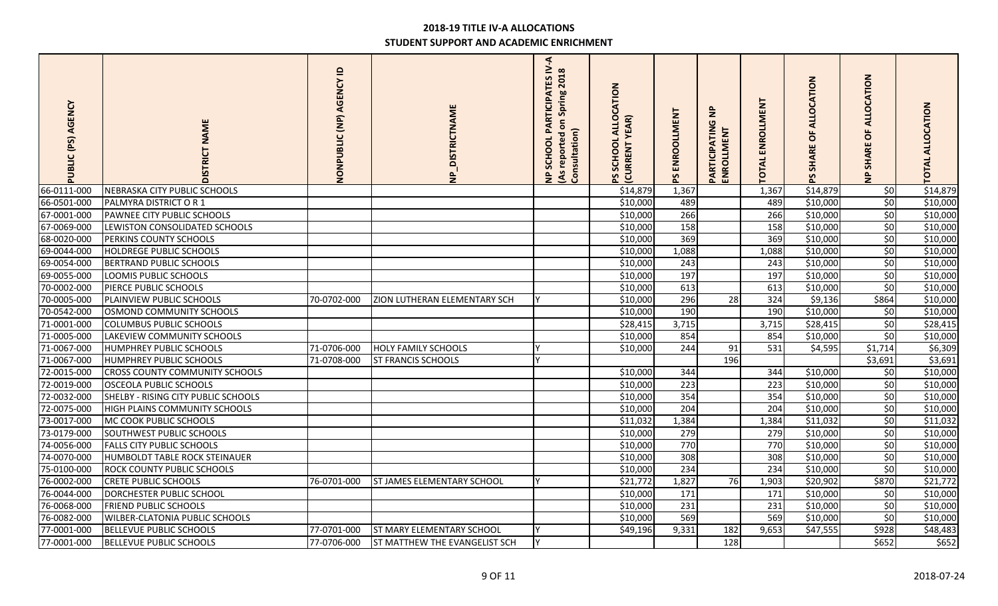| AGENCY<br>PUBLIC (PS) | <b>NAME</b><br>DISTRICT               | $\mathbf{a}$<br>NONPUBLIC (NP) AGENCY | <b>NP_DISTRICTNAME</b>           | $\triangleleft$<br><b>ARTICIPATES IV</b><br>(As reported on Spring 2018<br>Consultation)<br>$\mathbf{a}$<br>SCHOOL<br>$\frac{a}{2}$ | <b>ALLOCATION</b><br><b>YEAR)</b><br>SCHOOL<br><b>CURRENT</b> | PS ENROOLLMENT   | $\bar{z}$<br>PARTICIPATIN<br>ENROLLMENT | ENROLLMENT<br><b>TOTAL</b> | CATION<br><b>ALLO</b><br>ŏ<br><b>SHARE</b> | <b>OCATION</b><br>ᆗ<br>$\circ$<br><b>SHARE</b><br>$\frac{1}{2}$ | <b>TOTAL ALLOCATION</b> |
|-----------------------|---------------------------------------|---------------------------------------|----------------------------------|-------------------------------------------------------------------------------------------------------------------------------------|---------------------------------------------------------------|------------------|-----------------------------------------|----------------------------|--------------------------------------------|-----------------------------------------------------------------|-------------------------|
| 66-0111-000           | NEBRASKA CITY PUBLIC SCHOOLS          |                                       |                                  |                                                                                                                                     | \$14,879                                                      | 1,367            |                                         | 1,367                      | \$14,879                                   | \$0                                                             | \$14,879                |
| 66-0501-000           | PALMYRA DISTRICT O R 1                |                                       |                                  |                                                                                                                                     | \$10,000                                                      | 489              |                                         | 489                        | \$10,000                                   | 50                                                              | \$10,000                |
| 67-0001-000           | PAWNEE CITY PUBLIC SCHOOLS            |                                       |                                  |                                                                                                                                     | \$10,000                                                      | 266              |                                         | 266                        | \$10,000                                   | \$0                                                             | \$10,000                |
| 67-0069-000           | LEWISTON CONSOLIDATED SCHOOLS         |                                       |                                  |                                                                                                                                     | \$10,000                                                      | 158              |                                         | 158                        | \$10,000                                   | \$0                                                             | \$10,000                |
| 68-0020-000           | PERKINS COUNTY SCHOOLS                |                                       |                                  |                                                                                                                                     | \$10,000                                                      | 369              |                                         | 369                        | \$10,000                                   | 50                                                              | \$10,000                |
| 69-0044-000           | <b>HOLDREGE PUBLIC SCHOOLS</b>        |                                       |                                  |                                                                                                                                     | \$10,000                                                      | 1,088            |                                         | 1,088                      | \$10,000                                   | \$0                                                             | \$10,000                |
| 69-0054-000           | <b>BERTRAND PUBLIC SCHOOLS</b>        |                                       |                                  |                                                                                                                                     | \$10,000                                                      | 243              |                                         | 243                        | \$10,000                                   | \$0                                                             | \$10,000                |
| 69-0055-000           | LOOMIS PUBLIC SCHOOLS                 |                                       |                                  |                                                                                                                                     | \$10,000                                                      | 197              |                                         | 197                        | \$10,000                                   | \$0                                                             | \$10,000                |
| 70-0002-000           | PIERCE PUBLIC SCHOOLS                 |                                       |                                  |                                                                                                                                     | \$10,000                                                      | 613              |                                         | 613                        | \$10,000                                   | \$0                                                             | \$10,000                |
| 70-0005-000           | PLAINVIEW PUBLIC SCHOOLS              | 70-0702-000                           | ZION LUTHERAN ELEMENTARY SCH     |                                                                                                                                     | \$10,000                                                      | 296              | 28                                      | 324                        | \$9,136                                    | \$864                                                           | \$10,000                |
| 70-0542-000           | OSMOND COMMUNITY SCHOOLS              |                                       |                                  |                                                                                                                                     | \$10,000                                                      | 190              |                                         | 190                        | \$10,000                                   | \$0                                                             | \$10,000                |
| 71-0001-000           | <b>COLUMBUS PUBLIC SCHOOLS</b>        |                                       |                                  |                                                                                                                                     | \$28,415                                                      | 3,715            |                                         | 3,715                      | \$28,415                                   | \$0                                                             | \$28,415                |
| 71-0005-000           | LAKEVIEW COMMUNITY SCHOOLS            |                                       |                                  |                                                                                                                                     | \$10,000                                                      | 854              |                                         | 854                        | \$10,000                                   | \$0                                                             | \$10,000                |
| 71-0067-000           | <b>HUMPHREY PUBLIC SCHOOLS</b>        | 71-0706-000                           | HOLY FAMILY SCHOOLS              |                                                                                                                                     | \$10,000                                                      | 244              | 91                                      | 531                        | \$4,595                                    | \$1,714                                                         | \$6,309                 |
| 71-0067-000           | <b>HUMPHREY PUBLIC SCHOOLS</b>        | 71-0708-000                           | <b>ST FRANCIS SCHOOLS</b>        | $\checkmark$                                                                                                                        |                                                               |                  | 196                                     |                            |                                            | \$3,691                                                         | \$3,691                 |
| 72-0015-000           | <b>CROSS COUNTY COMMUNITY SCHOOLS</b> |                                       |                                  |                                                                                                                                     | \$10,000                                                      | 344              |                                         | 344                        | \$10,000                                   | \$0                                                             | \$10,000                |
| 72-0019-000           | <b>OSCEOLA PUBLIC SCHOOLS</b>         |                                       |                                  |                                                                                                                                     | \$10,000                                                      | $\overline{223}$ |                                         | $\overline{223}$           | \$10,000                                   | $\overline{\xi}$                                                | \$10,000                |
| 72-0032-000           | SHELBY - RISING CITY PUBLIC SCHOOLS   |                                       |                                  |                                                                                                                                     | \$10,000                                                      | 354              |                                         | 354                        | \$10,000                                   | \$0                                                             | \$10,000                |
| 72-0075-000           | <b>HIGH PLAINS COMMUNITY SCHOOLS</b>  |                                       |                                  |                                                                                                                                     | \$10,000                                                      | 204              |                                         | 204                        | \$10,000                                   | \$0                                                             | \$10,000                |
| 73-0017-000           | MC COOK PUBLIC SCHOOLS                |                                       |                                  |                                                                                                                                     | \$11,032                                                      | 1,384            |                                         | 1,384                      | \$11,032                                   | \$0                                                             | \$11,032                |
| 73-0179-000           | SOUTHWEST PUBLIC SCHOOLS              |                                       |                                  |                                                                                                                                     | \$10,000                                                      | 279              |                                         | 279                        | \$10,000                                   | \$0                                                             | \$10,000                |
| 74-0056-000           | <b>FALLS CITY PUBLIC SCHOOLS</b>      |                                       |                                  |                                                                                                                                     | \$10,000                                                      | 770              |                                         | 770                        | \$10,000                                   | 50                                                              | \$10,000                |
| 74-0070-000           | <b>HUMBOLDT TABLE ROCK STEINAUER</b>  |                                       |                                  |                                                                                                                                     | \$10,000                                                      | 308              |                                         | 308                        | \$10,000                                   | \$0                                                             | \$10,000                |
| 75-0100-000           | <b>ROCK COUNTY PUBLIC SCHOOLS</b>     |                                       |                                  |                                                                                                                                     | \$10,000                                                      | 234              |                                         | 234                        | \$10,000                                   | \$0                                                             | \$10,000                |
| 76-0002-000           | <b>CRETE PUBLIC SCHOOLS</b>           | 76-0701-000                           | ST JAMES ELEMENTARY SCHOOL       |                                                                                                                                     | \$21,772                                                      | 1,827            | 76                                      | 1,903                      | \$20,902                                   | \$870                                                           | \$21,772                |
| 76-0044-000           | DORCHESTER PUBLIC SCHOOL              |                                       |                                  |                                                                                                                                     | \$10,000                                                      | 171              |                                         | 171                        | \$10,000                                   | \$0                                                             | \$10,000                |
| 76-0068-000           | <b>FRIEND PUBLIC SCHOOLS</b>          |                                       |                                  |                                                                                                                                     | \$10,000                                                      | 231              |                                         | 231                        | \$10,000                                   | 50                                                              | \$10,000                |
| 76-0082-000           | <b>WILBER-CLATONIA PUBLIC SCHOOLS</b> |                                       |                                  |                                                                                                                                     | \$10,000                                                      | 569              |                                         | 569                        | \$10,000                                   | $\overline{\xi}$                                                | \$10,000                |
| 77-0001-000           | BELLEVUE PUBLIC SCHOOLS               | 77-0701-000                           | <b>ST MARY ELEMENTARY SCHOOL</b> |                                                                                                                                     | \$49,196                                                      | 9,331            | 182                                     | 9,653                      | \$47,555                                   | \$928                                                           | \$48,483                |
| 77-0001-000           | <b>BELLEVUE PUBLIC SCHOOLS</b>        | 77-0706-000                           | ST MATTHEW THE EVANGELIST SCH    | lY.                                                                                                                                 |                                                               |                  | 128                                     |                            |                                            | \$652                                                           | \$652                   |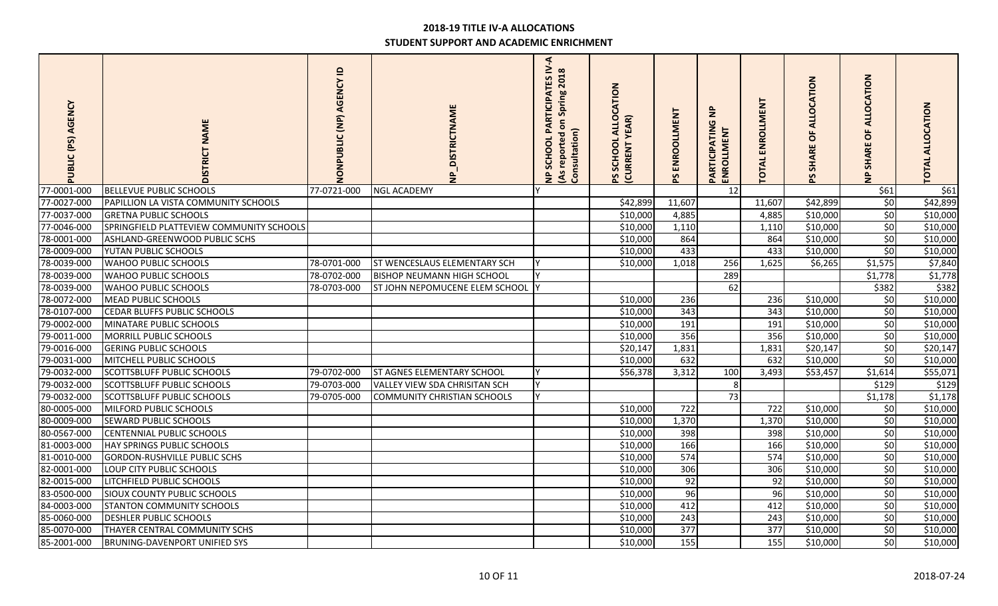| AGENCY<br>PUBLIC (PS) | <b>NAME</b><br>ISTRICT                   | $\mathbf{a}$<br>NONPUBLIC (NP) AGENCY | <b>VP_DISTRICTNAME</b>             | $\triangleleft$<br>PARTICIPATES IV<br>(As reported on Spring 2018<br>Consultation)<br>SCHOOL<br>$\epsilon$ | ALLOCATION<br><b>YEAR</b> )<br>SCHOOL<br><b>CURRENT</b> | PS ENROOLLMENT | $\frac{a}{2}$<br>PARTICIPATIN<br>ENROLLMENT | ENROLLMENT<br><b>TOTAL</b> | ALLOCATION<br>ŏ<br><b>SHARE</b><br>59 | CATION<br>Ŏ<br>ᆗ<br>$\circ$<br><b>SHARI</b><br>$\frac{p}{Z}$ | <b>TOTAL ALLOCATION</b> |
|-----------------------|------------------------------------------|---------------------------------------|------------------------------------|------------------------------------------------------------------------------------------------------------|---------------------------------------------------------|----------------|---------------------------------------------|----------------------------|---------------------------------------|--------------------------------------------------------------|-------------------------|
| 77-0001-000           | <b>BELLEVUE PUBLIC SCHOOLS</b>           | 77-0721-000                           | <b>NGL ACADEMY</b>                 |                                                                                                            |                                                         |                | 12                                          |                            |                                       | \$61                                                         | \$61                    |
| 77-0027-000           | PAPILLION LA VISTA COMMUNITY SCHOOLS     |                                       |                                    |                                                                                                            | \$42,899                                                | 11,607         |                                             | 11,607                     | \$42,899                              | \$0                                                          | \$42,899                |
| 77-0037-000           | <b>GRETNA PUBLIC SCHOOLS</b>             |                                       |                                    |                                                                                                            | \$10,000                                                | 4,885          |                                             | 4,885                      | \$10,000                              | 50                                                           | \$10,000                |
| 77-0046-000           | SPRINGFIELD PLATTEVIEW COMMUNITY SCHOOLS |                                       |                                    |                                                                                                            | \$10,000                                                | 1,110          |                                             | 1,110                      | \$10,000                              | 50                                                           | \$10,000                |
| 78-0001-000           | ASHLAND-GREENWOOD PUBLIC SCHS            |                                       |                                    |                                                                                                            | \$10,000                                                | 864            |                                             | 864                        | \$10,000                              | 50                                                           | \$10,000                |
| 78-0009-000           | YUTAN PUBLIC SCHOOLS                     |                                       |                                    |                                                                                                            | \$10,000                                                | 433            |                                             | 433                        | \$10,000                              | \$0                                                          | \$10,000                |
| 78-0039-000           | <b>WAHOO PUBLIC SCHOOLS</b>              | 78-0701-000                           | ST WENCESLAUS ELEMENTARY SCH       |                                                                                                            | \$10,000                                                | 1,018          | 256                                         | 1,625                      | \$6,265                               | \$1,575                                                      | \$7,840                 |
| 78-0039-000           | <b>WAHOO PUBLIC SCHOOLS</b>              | 78-0702-000                           | <b>BISHOP NEUMANN HIGH SCHOOL</b>  |                                                                                                            |                                                         |                | 289                                         |                            |                                       | \$1,778                                                      | \$1,778                 |
| 78-0039-000           | WAHOO PUBLIC SCHOOLS                     | 78-0703-000                           | ST JOHN NEPOMUCENE ELEM SCHOOL     |                                                                                                            |                                                         |                | 62                                          |                            |                                       | \$382                                                        | \$382                   |
| 78-0072-000           | <b>MEAD PUBLIC SCHOOLS</b>               |                                       |                                    |                                                                                                            | \$10,000                                                | 236            |                                             | 236                        | \$10,000                              | \$0                                                          | \$10,000                |
| 78-0107-000           | CEDAR BLUFFS PUBLIC SCHOOLS              |                                       |                                    |                                                                                                            | \$10,000                                                | 343            |                                             | 343                        | \$10,000                              | 50                                                           | \$10,000                |
| 79-0002-000           | MINATARE PUBLIC SCHOOLS                  |                                       |                                    |                                                                                                            | \$10,000                                                | 191            |                                             | 191                        | \$10,000                              | 50                                                           | \$10,000                |
| 79-0011-000           | MORRILL PUBLIC SCHOOLS                   |                                       |                                    |                                                                                                            | \$10,000                                                | 356            |                                             | 356                        | \$10,000                              | \$0                                                          | \$10,000                |
| 79-0016-000           | <b>GERING PUBLIC SCHOOLS</b>             |                                       |                                    |                                                                                                            | \$20,147                                                | 1,831          |                                             | 1,831                      | \$20,147                              | \$0                                                          | \$20,147                |
| 79-0031-000           | MITCHELL PUBLIC SCHOOLS                  |                                       |                                    |                                                                                                            | \$10,000                                                | 632            |                                             | 632                        | \$10,000                              | 50                                                           | \$10,000                |
| 79-0032-000           | <b>SCOTTSBLUFF PUBLIC SCHOOLS</b>        | 79-0702-000                           | <b>ST AGNES ELEMENTARY SCHOOL</b>  | <b>Y</b>                                                                                                   | \$56,378                                                | 3,312          | 100                                         | 3,493                      | \$53,457                              | \$1,614                                                      | \$55,071                |
| 79-0032-000           | <b>SCOTTSBLUFF PUBLIC SCHOOLS</b>        | 79-0703-000                           | VALLEY VIEW SDA CHRISITAN SCH      | Y                                                                                                          |                                                         |                | 8                                           |                            |                                       | \$129                                                        | \$129                   |
| 79-0032-000           | <b>SCOTTSBLUFF PUBLIC SCHOOLS</b>        | 79-0705-000                           | <b>COMMUNITY CHRISTIAN SCHOOLS</b> |                                                                                                            |                                                         |                | 73                                          |                            |                                       | \$1,178                                                      | \$1,178                 |
| 80-0005-000           | MILFORD PUBLIC SCHOOLS                   |                                       |                                    |                                                                                                            | \$10,000                                                | 722            |                                             | 722                        | \$10,000                              | 50                                                           | \$10,000                |
| 80-0009-000           | SEWARD PUBLIC SCHOOLS                    |                                       |                                    |                                                                                                            | \$10,000                                                | 1,370          |                                             | 1,370                      | \$10,000                              | 50                                                           | \$10,000                |
| 80-0567-000           | <b>CENTENNIAL PUBLIC SCHOOLS</b>         |                                       |                                    |                                                                                                            | \$10,000                                                | 398            |                                             | 398                        | \$10,000                              | \$0                                                          | \$10,000                |
| 81-0003-000           | HAY SPRINGS PUBLIC SCHOOLS               |                                       |                                    |                                                                                                            | \$10,000                                                | 166            |                                             | 166                        | \$10,000                              | 50                                                           | \$10,000                |
| 81-0010-000           | <b>GORDON-RUSHVILLE PUBLIC SCHS</b>      |                                       |                                    |                                                                                                            | \$10,000                                                | 574            |                                             | 574                        | \$10,000                              | \$0                                                          | \$10,000                |
| 82-0001-000           | LOUP CITY PUBLIC SCHOOLS                 |                                       |                                    |                                                                                                            | \$10,000                                                | 306            |                                             | 306                        | \$10,000                              | \$0                                                          | \$10,000                |
| 82-0015-000           | LITCHFIELD PUBLIC SCHOOLS                |                                       |                                    |                                                                                                            | \$10,000                                                | 92             |                                             | 92                         | \$10,000                              | 50                                                           | \$10,000                |
| 83-0500-000           | SIOUX COUNTY PUBLIC SCHOOLS              |                                       |                                    |                                                                                                            | \$10,000                                                | 96             |                                             | 96                         | \$10,000                              | \$0                                                          | \$10,000                |
| 84-0003-000           | <b>STANTON COMMUNITY SCHOOLS</b>         |                                       |                                    |                                                                                                            | \$10,000                                                | 412            |                                             | 412                        | \$10,000                              | 50                                                           | \$10,000                |
| 85-0060-000           | <b>DESHLER PUBLIC SCHOOLS</b>            |                                       |                                    |                                                                                                            | \$10,000                                                | 243            |                                             | 243                        | \$10,000                              | \$0                                                          | \$10,000                |
| 85-0070-000           | THAYER CENTRAL COMMUNITY SCHS            |                                       |                                    |                                                                                                            | \$10,000                                                | 377            |                                             | 377                        | \$10,000                              | \$0                                                          | \$10,000                |
| 85-2001-000           | <b>BRUNING-DAVENPORT UNIFIED SYS</b>     |                                       |                                    |                                                                                                            | \$10,000                                                | 155            |                                             | 155                        | \$10,000                              | 50                                                           | \$10,000                |